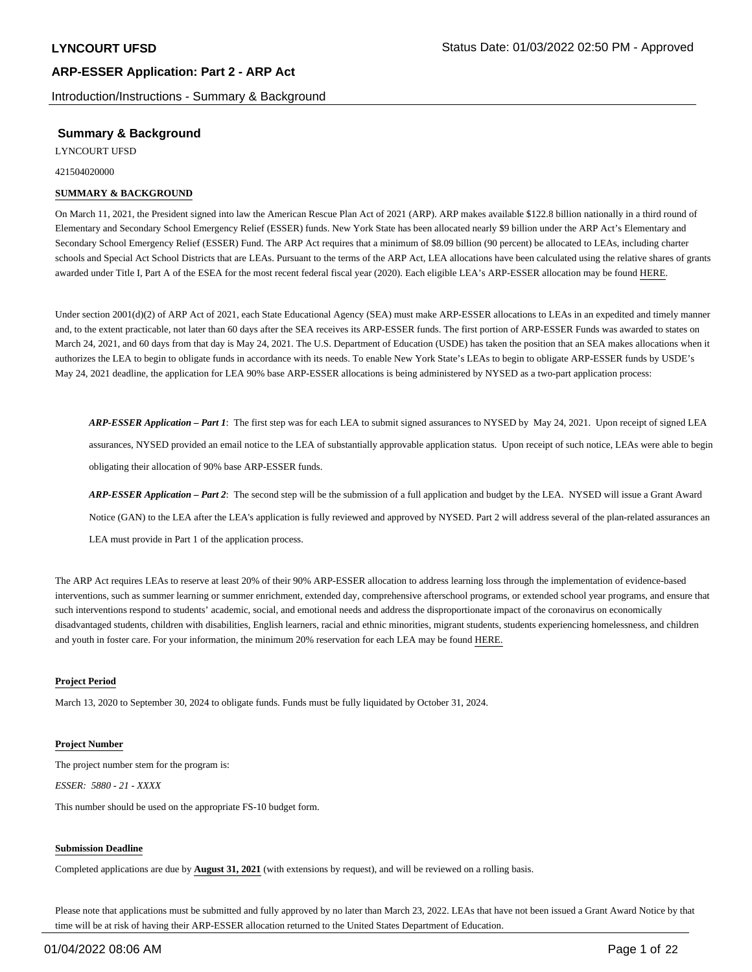Introduction/Instructions - Summary & Background

# **Summary & Background**

LYNCOURT UFSD

421504020000

### **SUMMARY & BACKGROUND**

On March 11, 2021, the President signed into law the American Rescue Plan Act of 2021 (ARP). ARP makes available \$122.8 billion nationally in a third round of Elementary and Secondary School Emergency Relief (ESSER) funds. New York State has been allocated nearly \$9 billion under the ARP Act's Elementary and Secondary School Emergency Relief (ESSER) Fund. The ARP Act requires that a minimum of \$8.09 billion (90 percent) be allocated to LEAs, including charter schools and Special Act School Districts that are LEAs. Pursuant to the terms of the ARP Act, LEA allocations have been calculated using the relative shares of grants awarded under Title I, Part A of the ESEA for the most recent federal fiscal year (2020). Each eligible LEA's ARP-ESSER allocation may be found HERE.

Under section 2001(d)(2) of ARP Act of 2021, each State Educational Agency (SEA) must make ARP-ESSER allocations to LEAs in an expedited and timely manner and, to the extent practicable, not later than 60 days after the SEA receives its ARP-ESSER funds. The first portion of ARP-ESSER Funds was awarded to states on March 24, 2021, and 60 days from that day is May 24, 2021. The U.S. Department of Education (USDE) has taken the position that an SEA makes allocations when it authorizes the LEA to begin to obligate funds in accordance with its needs. To enable New York State's LEAs to begin to obligate ARP-ESSER funds by USDE's May 24, 2021 deadline, the application for LEA 90% base ARP-ESSER allocations is being administered by NYSED as a two-part application process:

*ARP-ESSER Application – Part 1*: The first step was for each LEA to submit signed assurances to NYSED by May 24, 2021. Upon receipt of signed LEA assurances, NYSED provided an email notice to the LEA of substantially approvable application status. Upon receipt of such notice, LEAs were able to begin obligating their allocation of 90% base ARP-ESSER funds.

*ARP-ESSER Application – Part 2*: The second step will be the submission of a full application and budget by the LEA. NYSED will issue a Grant Award Notice (GAN) to the LEA after the LEA's application is fully reviewed and approved by NYSED. Part 2 will address several of the plan-related assurances an LEA must provide in Part 1 of the application process.

The ARP Act requires LEAs to reserve at least 20% of their 90% ARP-ESSER allocation to address learning loss through the implementation of evidence-based interventions, such as summer learning or summer enrichment, extended day, comprehensive afterschool programs, or extended school year programs, and ensure that such interventions respond to students' academic, social, and emotional needs and address the disproportionate impact of the coronavirus on economically disadvantaged students, children with disabilities, English learners, racial and ethnic minorities, migrant students, students experiencing homelessness, and children and youth in foster care. For your information, the minimum 20% reservation for each LEA may be found HERE.

#### **Project Period**

March 13, 2020 to September 30, 2024 to obligate funds. Funds must be fully liquidated by October 31, 2024.

#### **Project Number**

The project number stem for the program is: *ESSER: 5880 - 21 - XXXX*

This number should be used on the appropriate FS-10 budget form.

#### **Submission Deadline**

Completed applications are due by **August 31, 2021** (with extensions by request), and will be reviewed on a rolling basis.

Please note that applications must be submitted and fully approved by no later than March 23, 2022. LEAs that have not been issued a Grant Award Notice by that time will be at risk of having their ARP-ESSER allocation returned to the United States Department of Education.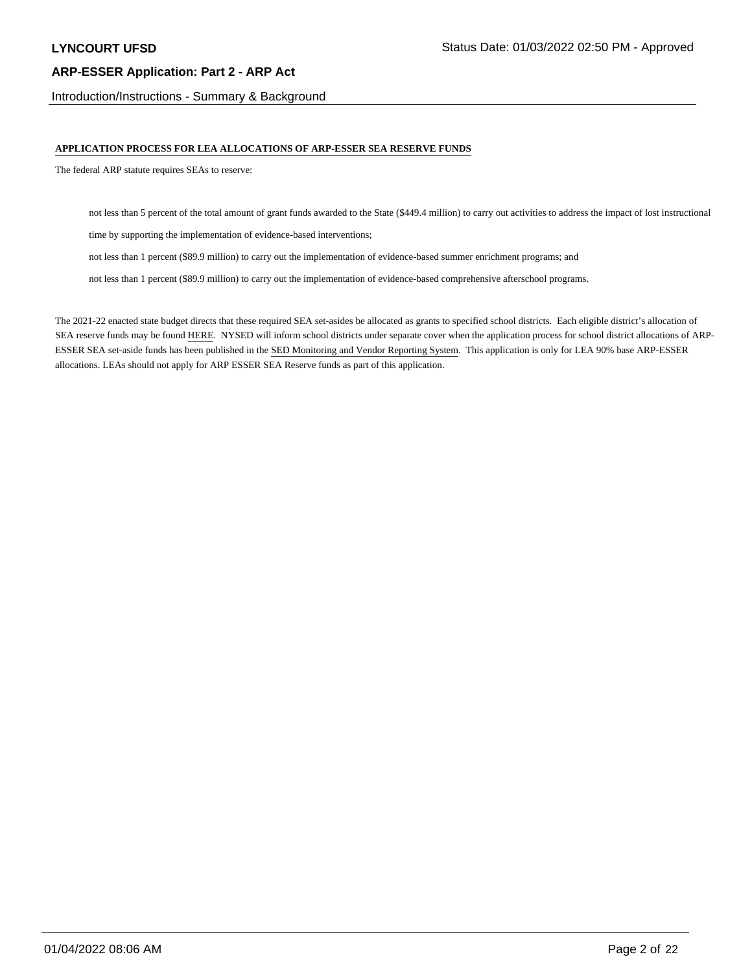Introduction/Instructions - Summary & Background

### **APPLICATION PROCESS FOR LEA ALLOCATIONS OF ARP-ESSER SEA RESERVE FUNDS**

The federal ARP statute requires SEAs to reserve:

not less than 5 percent of the total amount of grant funds awarded to the State (\$449.4 million) to carry out activities to address the impact of lost instructional

time by supporting the implementation of evidence-based interventions;

not less than 1 percent (\$89.9 million) to carry out the implementation of evidence-based summer enrichment programs; and

not less than 1 percent (\$89.9 million) to carry out the implementation of evidence-based comprehensive afterschool programs.

The 2021-22 enacted state budget directs that these required SEA set-asides be allocated as grants to specified school districts. Each eligible district's allocation of SEA reserve funds may be found HERE. NYSED will inform school districts under separate cover when the application process for school district allocations of ARP-ESSER SEA set-aside funds has been published in the SED Monitoring and Vendor Reporting System. This application is only for LEA 90% base ARP-ESSER allocations. LEAs should not apply for ARP ESSER SEA Reserve funds as part of this application.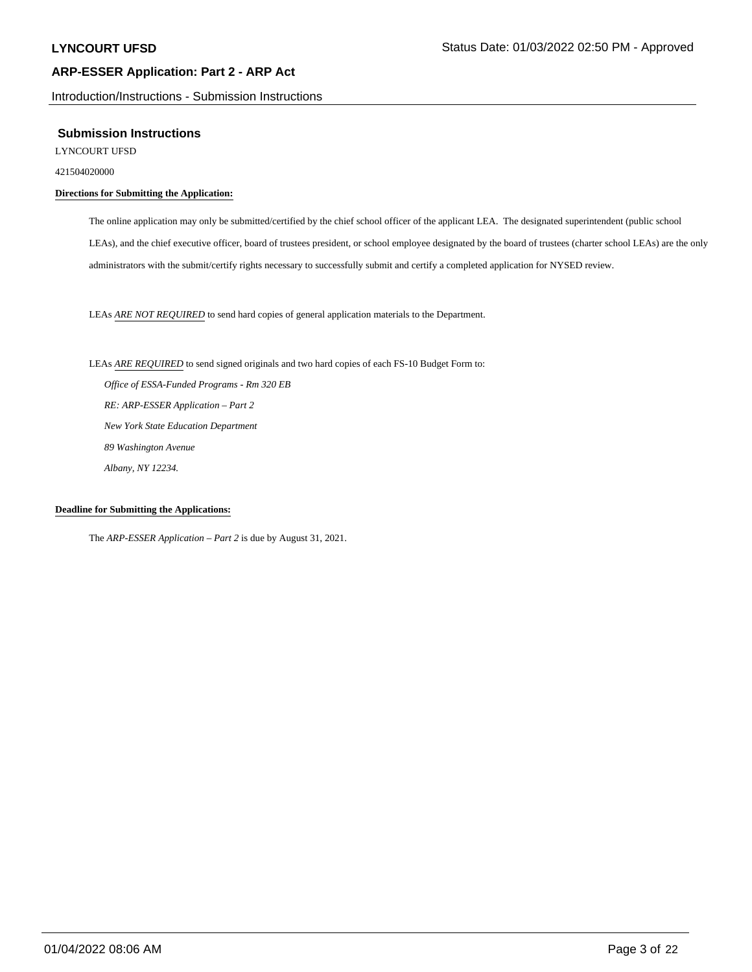Introduction/Instructions - Submission Instructions

### **Submission Instructions**

LYNCOURT UFSD

421504020000

# **Directions for Submitting the Application:**

The online application may only be submitted/certified by the chief school officer of the applicant LEA. The designated superintendent (public school LEAs), and the chief executive officer, board of trustees president, or school employee designated by the board of trustees (charter school LEAs) are the only administrators with the submit/certify rights necessary to successfully submit and certify a completed application for NYSED review.

LEAs *ARE NOT REQUIRED* to send hard copies of general application materials to the Department.

LEAs *ARE REQUIRED* to send signed originals and two hard copies of each FS-10 Budget Form to:  *Office of ESSA-Funded Programs - Rm 320 EB RE: ARP-ESSER Application – Part 2 New York State Education Department 89 Washington Avenue Albany, NY 12234.*

#### **Deadline for Submitting the Applications:**

The *ARP-ESSER Application – Part 2* is due by August 31, 2021.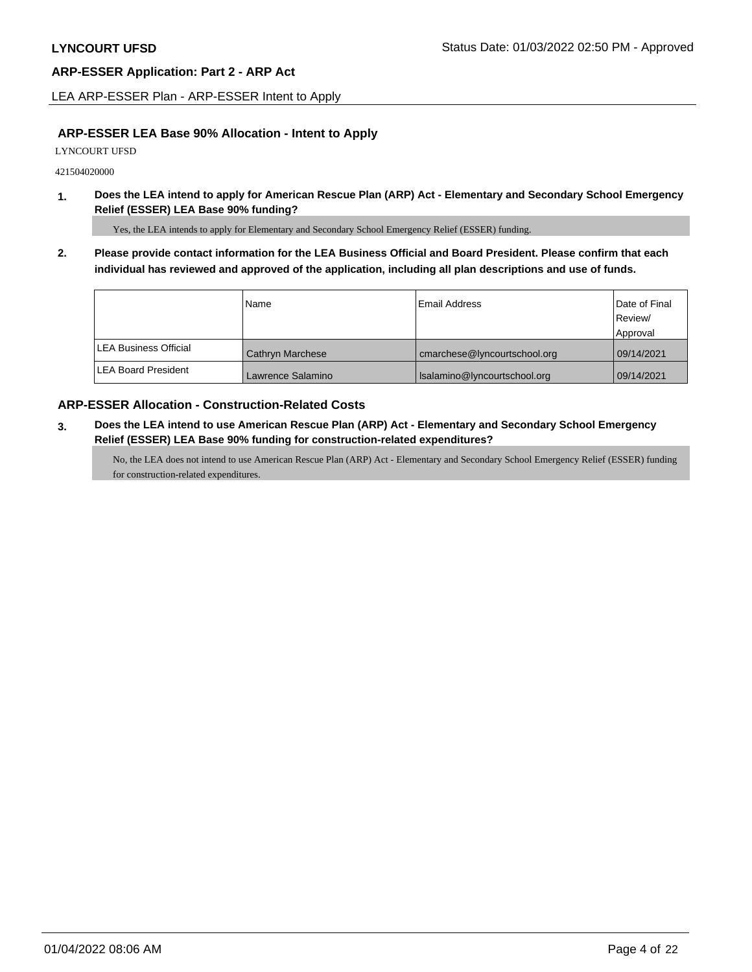LEA ARP-ESSER Plan - ARP-ESSER Intent to Apply

# **ARP-ESSER LEA Base 90% Allocation - Intent to Apply**

LYNCOURT UFSD

421504020000

**1. Does the LEA intend to apply for American Rescue Plan (ARP) Act - Elementary and Secondary School Emergency Relief (ESSER) LEA Base 90% funding?**

Yes, the LEA intends to apply for Elementary and Secondary School Emergency Relief (ESSER) funding.

**2. Please provide contact information for the LEA Business Official and Board President. Please confirm that each individual has reviewed and approved of the application, including all plan descriptions and use of funds.** 

|                               | Name              | Email Address                | Date of Final |
|-------------------------------|-------------------|------------------------------|---------------|
|                               |                   |                              | Review/       |
|                               |                   |                              | Approval      |
| <b>ILEA Business Official</b> | Cathryn Marchese  | cmarchese@lyncourtschool.org | 09/14/2021    |
| <b>ILEA Board President</b>   | Lawrence Salamino | Isalamino@lyncourtschool.org | 09/14/2021    |

# **ARP-ESSER Allocation - Construction-Related Costs**

**3. Does the LEA intend to use American Rescue Plan (ARP) Act - Elementary and Secondary School Emergency Relief (ESSER) LEA Base 90% funding for construction-related expenditures?**

No, the LEA does not intend to use American Rescue Plan (ARP) Act - Elementary and Secondary School Emergency Relief (ESSER) funding for construction-related expenditures.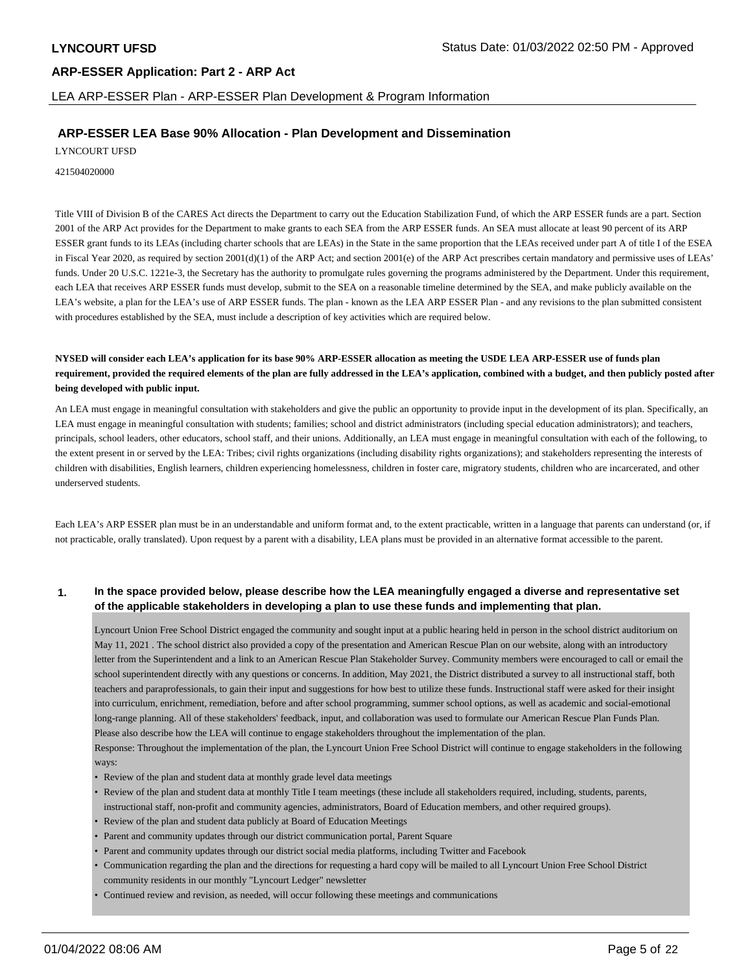LEA ARP-ESSER Plan - ARP-ESSER Plan Development & Program Information

# **ARP-ESSER LEA Base 90% Allocation - Plan Development and Dissemination**

LYNCOURT UFSD

421504020000

Title VIII of Division B of the CARES Act directs the Department to carry out the Education Stabilization Fund, of which the ARP ESSER funds are a part. Section 2001 of the ARP Act provides for the Department to make grants to each SEA from the ARP ESSER funds. An SEA must allocate at least 90 percent of its ARP ESSER grant funds to its LEAs (including charter schools that are LEAs) in the State in the same proportion that the LEAs received under part A of title I of the ESEA in Fiscal Year 2020, as required by section 2001(d)(1) of the ARP Act; and section 2001(e) of the ARP Act prescribes certain mandatory and permissive uses of LEAs' funds. Under 20 U.S.C. 1221e-3, the Secretary has the authority to promulgate rules governing the programs administered by the Department. Under this requirement, each LEA that receives ARP ESSER funds must develop, submit to the SEA on a reasonable timeline determined by the SEA, and make publicly available on the LEA's website, a plan for the LEA's use of ARP ESSER funds. The plan - known as the LEA ARP ESSER Plan - and any revisions to the plan submitted consistent with procedures established by the SEA, must include a description of key activities which are required below.

**NYSED will consider each LEA's application for its base 90% ARP-ESSER allocation as meeting the USDE LEA ARP-ESSER use of funds plan requirement, provided the required elements of the plan are fully addressed in the LEA's application, combined with a budget, and then publicly posted after being developed with public input.**

An LEA must engage in meaningful consultation with stakeholders and give the public an opportunity to provide input in the development of its plan. Specifically, an LEA must engage in meaningful consultation with students; families; school and district administrators (including special education administrators); and teachers, principals, school leaders, other educators, school staff, and their unions. Additionally, an LEA must engage in meaningful consultation with each of the following, to the extent present in or served by the LEA: Tribes; civil rights organizations (including disability rights organizations); and stakeholders representing the interests of children with disabilities, English learners, children experiencing homelessness, children in foster care, migratory students, children who are incarcerated, and other underserved students.

Each LEA's ARP ESSER plan must be in an understandable and uniform format and, to the extent practicable, written in a language that parents can understand (or, if not practicable, orally translated). Upon request by a parent with a disability, LEA plans must be provided in an alternative format accessible to the parent.

### **1. In the space provided below, please describe how the LEA meaningfully engaged a diverse and representative set of the applicable stakeholders in developing a plan to use these funds and implementing that plan.**

Lyncourt Union Free School District engaged the community and sought input at a public hearing held in person in the school district auditorium on May 11, 2021 . The school district also provided a copy of the presentation and American Rescue Plan on our website, along with an introductory letter from the Superintendent and a link to an American Rescue Plan Stakeholder Survey. Community members were encouraged to call or email the school superintendent directly with any questions or concerns. In addition, May 2021, the District distributed a survey to all instructional staff, both teachers and paraprofessionals, to gain their input and suggestions for how best to utilize these funds. Instructional staff were asked for their insight into curriculum, enrichment, remediation, before and after school programming, summer school options, as well as academic and social-emotional long-range planning. All of these stakeholders' feedback, input, and collaboration was used to formulate our American Rescue Plan Funds Plan. Please also describe how the LEA will continue to engage stakeholders throughout the implementation of the plan. Response: Throughout the implementation of the plan, the Lyncourt Union Free School District will continue to engage stakeholders in the following

- Review of the plan and student data at monthly grade level data meetings
- Review of the plan and student data at monthly Title I team meetings (these include all stakeholders required, including, students, parents, instructional staff, non-profit and community agencies, administrators, Board of Education members, and other required groups).
- Review of the plan and student data publicly at Board of Education Meetings
- Parent and community updates through our district communication portal, Parent Square
- Parent and community updates through our district social media platforms, including Twitter and Facebook
- Communication regarding the plan and the directions for requesting a hard copy will be mailed to all Lyncourt Union Free School District community residents in our monthly "Lyncourt Ledger" newsletter
- Continued review and revision, as needed, will occur following these meetings and communications

ways: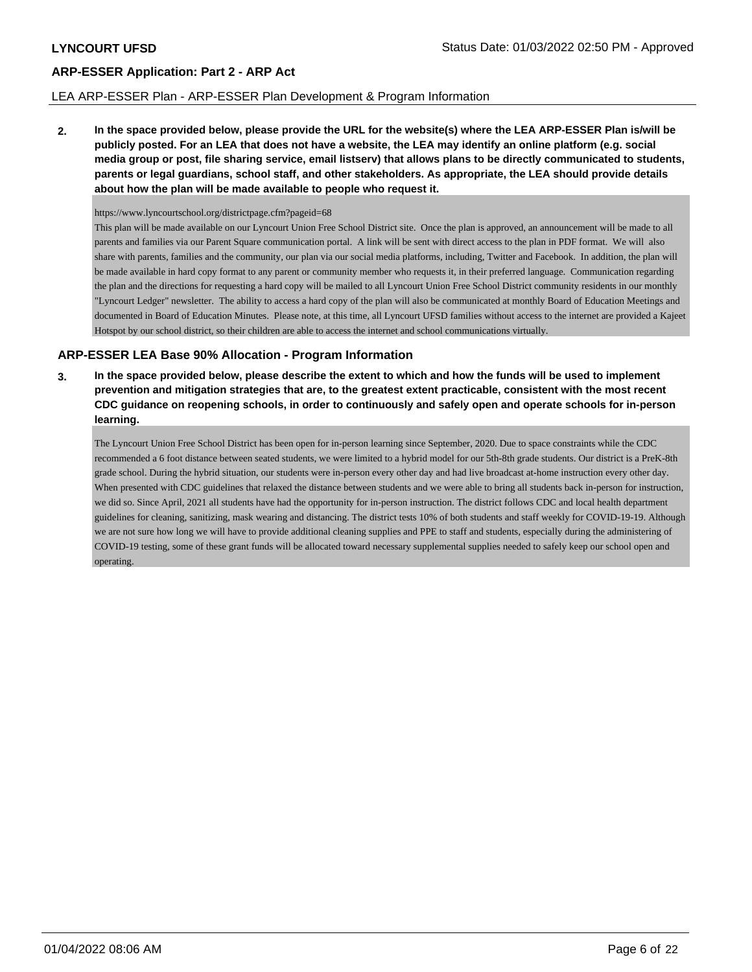# LEA ARP-ESSER Plan - ARP-ESSER Plan Development & Program Information

**2. In the space provided below, please provide the URL for the website(s) where the LEA ARP-ESSER Plan is/will be publicly posted. For an LEA that does not have a website, the LEA may identify an online platform (e.g. social media group or post, file sharing service, email listserv) that allows plans to be directly communicated to students, parents or legal guardians, school staff, and other stakeholders. As appropriate, the LEA should provide details about how the plan will be made available to people who request it.**

### https://www.lyncourtschool.org/districtpage.cfm?pageid=68

This plan will be made available on our Lyncourt Union Free School District site. Once the plan is approved, an announcement will be made to all parents and families via our Parent Square communication portal. A link will be sent with direct access to the plan in PDF format. We will also share with parents, families and the community, our plan via our social media platforms, including, Twitter and Facebook. In addition, the plan will be made available in hard copy format to any parent or community member who requests it, in their preferred language. Communication regarding the plan and the directions for requesting a hard copy will be mailed to all Lyncourt Union Free School District community residents in our monthly "Lyncourt Ledger" newsletter. The ability to access a hard copy of the plan will also be communicated at monthly Board of Education Meetings and documented in Board of Education Minutes. Please note, at this time, all Lyncourt UFSD families without access to the internet are provided a Kajeet Hotspot by our school district, so their children are able to access the internet and school communications virtually.

# **ARP-ESSER LEA Base 90% Allocation - Program Information**

**3. In the space provided below, please describe the extent to which and how the funds will be used to implement prevention and mitigation strategies that are, to the greatest extent practicable, consistent with the most recent CDC guidance on reopening schools, in order to continuously and safely open and operate schools for in-person learning.**

The Lyncourt Union Free School District has been open for in-person learning since September, 2020. Due to space constraints while the CDC recommended a 6 foot distance between seated students, we were limited to a hybrid model for our 5th-8th grade students. Our district is a PreK-8th grade school. During the hybrid situation, our students were in-person every other day and had live broadcast at-home instruction every other day. When presented with CDC guidelines that relaxed the distance between students and we were able to bring all students back in-person for instruction, we did so. Since April, 2021 all students have had the opportunity for in-person instruction. The district follows CDC and local health department guidelines for cleaning, sanitizing, mask wearing and distancing. The district tests 10% of both students and staff weekly for COVID-19-19. Although we are not sure how long we will have to provide additional cleaning supplies and PPE to staff and students, especially during the administering of COVID-19 testing, some of these grant funds will be allocated toward necessary supplemental supplies needed to safely keep our school open and operating.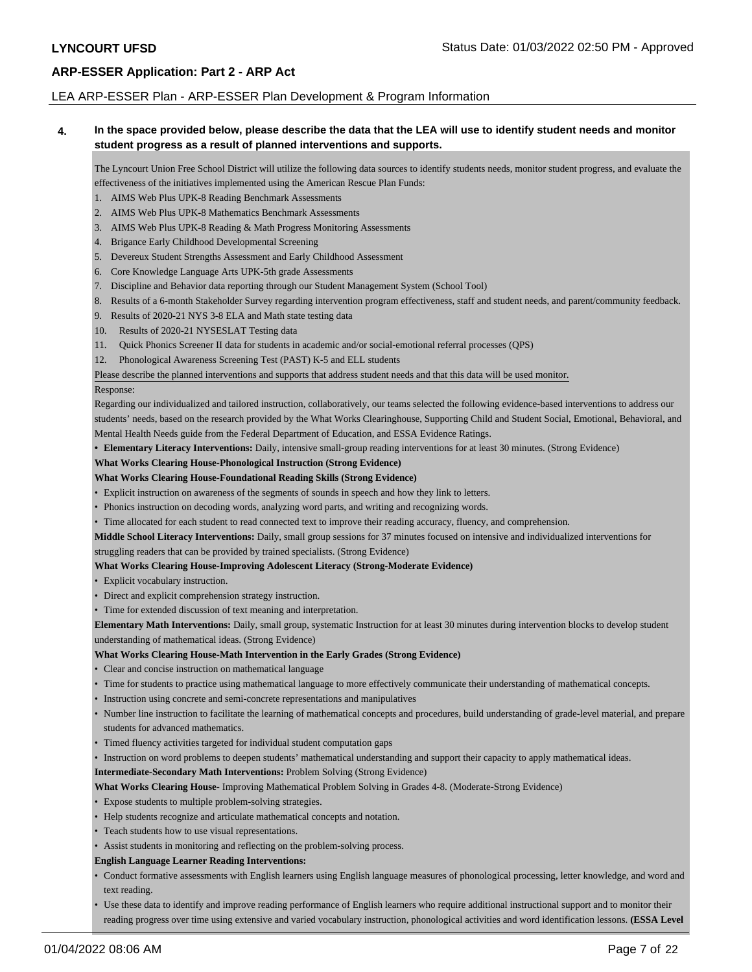### LEA ARP-ESSER Plan - ARP-ESSER Plan Development & Program Information

### **4. In the space provided below, please describe the data that the LEA will use to identify student needs and monitor student progress as a result of planned interventions and supports.**

The Lyncourt Union Free School District will utilize the following data sources to identify students needs, monitor student progress, and evaluate the effectiveness of the initiatives implemented using the American Rescue Plan Funds:

- 1. AIMS Web Plus UPK-8 Reading Benchmark Assessments
- 2. AIMS Web Plus UPK-8 Mathematics Benchmark Assessments
- 3. AIMS Web Plus UPK-8 Reading & Math Progress Monitoring Assessments
- 4. Brigance Early Childhood Developmental Screening
- 5. Devereux Student Strengths Assessment and Early Childhood Assessment
- 6. Core Knowledge Language Arts UPK-5th grade Assessments
- 7. Discipline and Behavior data reporting through our Student Management System (School Tool)
- 8. Results of a 6-month Stakeholder Survey regarding intervention program effectiveness, staff and student needs, and parent/community feedback.
- 9. Results of 2020-21 NYS 3-8 ELA and Math state testing data
- 10. Results of 2020-21 NYSESLAT Testing data
- 11. Quick Phonics Screener II data for students in academic and/or social-emotional referral processes (QPS)
- 12. Phonological Awareness Screening Test (PAST) K-5 and ELL students

#### Please describe the planned interventions and supports that address student needs and that this data will be used monitor.

#### Response:

Regarding our individualized and tailored instruction, collaboratively, our teams selected the following evidence-based interventions to address our students' needs, based on the research provided by the What Works Clearinghouse, Supporting Child and Student Social, Emotional, Behavioral, and Mental Health Needs guide from the Federal Department of Education, and ESSA Evidence Ratings.

**• Elementary Literacy Interventions:** Daily, intensive small-group reading interventions for at least 30 minutes. (Strong Evidence)

### **What Works Clearing House-Phonological Instruction (Strong Evidence)**

#### **What Works Clearing House-Foundational Reading Skills (Strong Evidence)**

- Explicit instruction on awareness of the segments of sounds in speech and how they link to letters.
- Phonics instruction on decoding words, analyzing word parts, and writing and recognizing words.
- Time allocated for each student to read connected text to improve their reading accuracy, fluency, and comprehension.

**Middle School Literacy Interventions:** Daily, small group sessions for 37 minutes focused on intensive and individualized interventions for struggling readers that can be provided by trained specialists. (Strong Evidence)

#### **What Works Clearing House-Improving Adolescent Literacy (Strong-Moderate Evidence)**

- Explicit vocabulary instruction.
- Direct and explicit comprehension strategy instruction.
- Time for extended discussion of text meaning and interpretation.

**Elementary Math Interventions:** Daily, small group, systematic Instruction for at least 30 minutes during intervention blocks to develop student understanding of mathematical ideas. (Strong Evidence)

#### **What Works Clearing House-Math Intervention in the Early Grades (Strong Evidence)**

- Clear and concise instruction on mathematical language
- Time for students to practice using mathematical language to more effectively communicate their understanding of mathematical concepts.
- Instruction using concrete and semi-concrete representations and manipulatives
- Number line instruction to facilitate the learning of mathematical concepts and procedures, build understanding of grade-level material, and prepare students for advanced mathematics.
- Timed fluency activities targeted for individual student computation gaps
- Instruction on word problems to deepen students' mathematical understanding and support their capacity to apply mathematical ideas.

**Intermediate-Secondary Math Interventions:** Problem Solving (Strong Evidence)

- **What Works Clearing House-** Improving Mathematical Problem Solving in Grades 4-8. (Moderate-Strong Evidence)
- Expose students to multiple problem-solving strategies.
- Help students recognize and articulate mathematical concepts and notation.
- Teach students how to use visual representations.
- Assist students in monitoring and reflecting on the problem-solving process.

#### **English Language Learner Reading Interventions:**

- Conduct formative assessments with English learners using English language measures of phonological processing, letter knowledge, and word and text reading.
- Use these data to identify and improve reading performance of English learners who require additional instructional support and to monitor their reading progress over time using extensive and varied vocabulary instruction, phonological activities and word identification lessons. **(ESSA Level**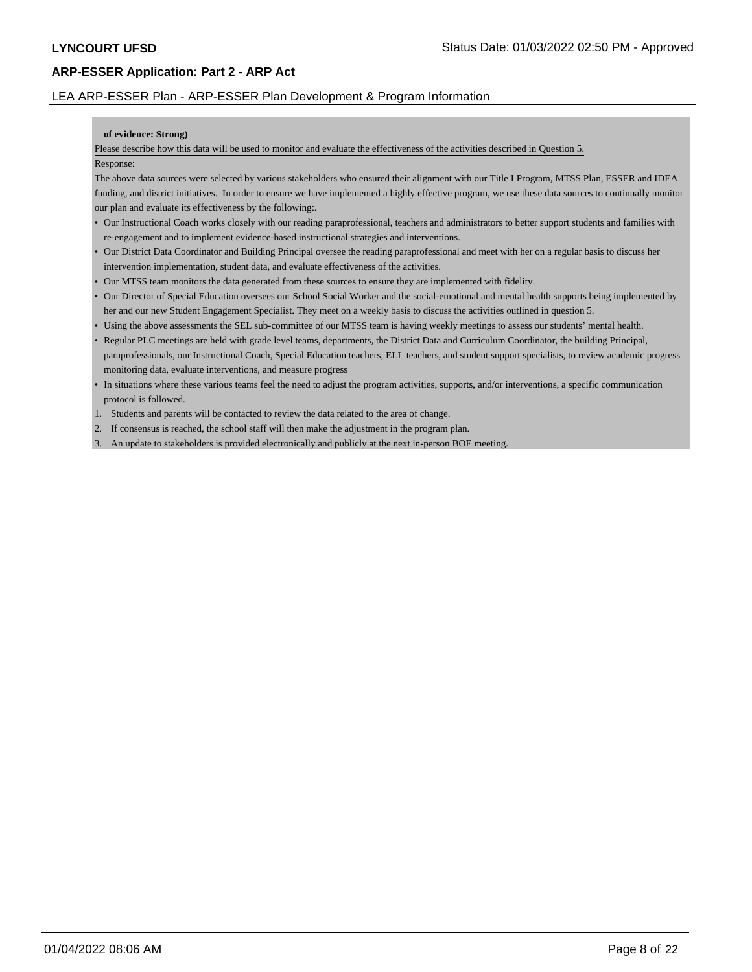# LEA ARP-ESSER Plan - ARP-ESSER Plan Development & Program Information

### **of evidence: Strong)**

Please describe how this data will be used to monitor and evaluate the effectiveness of the activities described in Question 5.

### Response:

The above data sources were selected by various stakeholders who ensured their alignment with our Title I Program, MTSS Plan, ESSER and IDEA funding, and district initiatives. In order to ensure we have implemented a highly effective program, we use these data sources to continually monitor our plan and evaluate its effectiveness by the following:.

- Our Instructional Coach works closely with our reading paraprofessional, teachers and administrators to better support students and families with re-engagement and to implement evidence-based instructional strategies and interventions.
- Our District Data Coordinator and Building Principal oversee the reading paraprofessional and meet with her on a regular basis to discuss her intervention implementation, student data, and evaluate effectiveness of the activities.
- Our MTSS team monitors the data generated from these sources to ensure they are implemented with fidelity.
- Our Director of Special Education oversees our School Social Worker and the social-emotional and mental health supports being implemented by her and our new Student Engagement Specialist. They meet on a weekly basis to discuss the activities outlined in question 5.
- Using the above assessments the SEL sub-committee of our MTSS team is having weekly meetings to assess our students' mental health.
- Regular PLC meetings are held with grade level teams, departments, the District Data and Curriculum Coordinator, the building Principal, paraprofessionals, our Instructional Coach, Special Education teachers, ELL teachers, and student support specialists, to review academic progress monitoring data, evaluate interventions, and measure progress
- In situations where these various teams feel the need to adjust the program activities, supports, and/or interventions, a specific communication protocol is followed.
- 1. Students and parents will be contacted to review the data related to the area of change.
- 2. If consensus is reached, the school staff will then make the adjustment in the program plan.
- 3. An update to stakeholders is provided electronically and publicly at the next in-person BOE meeting.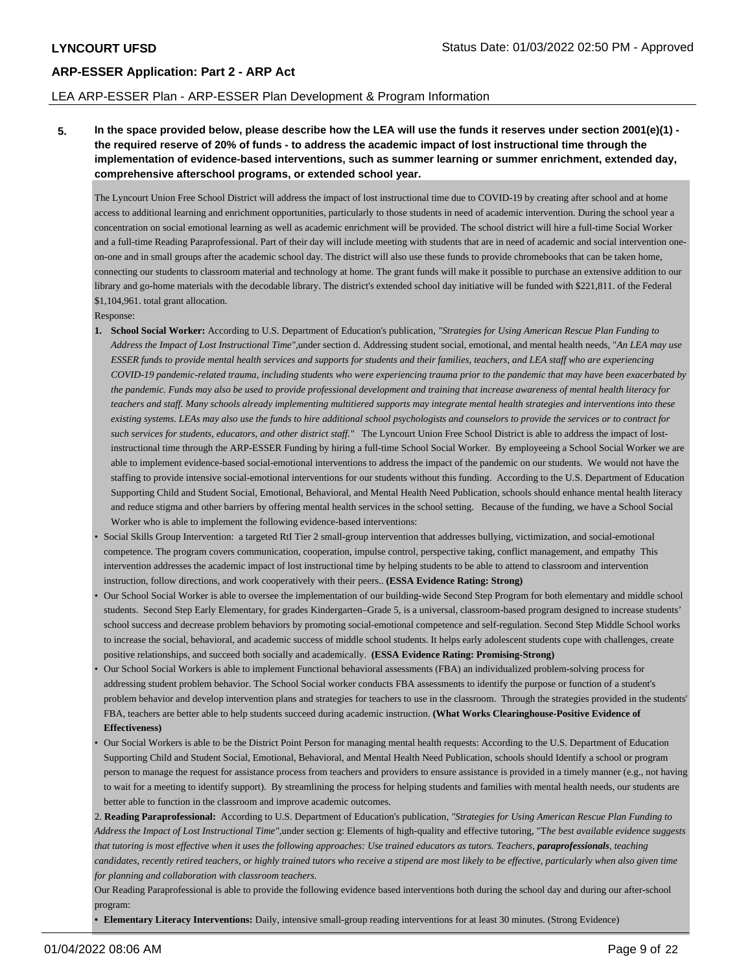### LEA ARP-ESSER Plan - ARP-ESSER Plan Development & Program Information

**5. In the space provided below, please describe how the LEA will use the funds it reserves under section 2001(e)(1) the required reserve of 20% of funds - to address the academic impact of lost instructional time through the implementation of evidence-based interventions, such as summer learning or summer enrichment, extended day, comprehensive afterschool programs, or extended school year.**

The Lyncourt Union Free School District will address the impact of lost instructional time due to COVID-19 by creating after school and at home access to additional learning and enrichment opportunities, particularly to those students in need of academic intervention. During the school year a concentration on social emotional learning as well as academic enrichment will be provided. The school district will hire a full-time Social Worker and a full-time Reading Paraprofessional. Part of their day will include meeting with students that are in need of academic and social intervention oneon-one and in small groups after the academic school day. The district will also use these funds to provide chromebooks that can be taken home, connecting our students to classroom material and technology at home. The grant funds will make it possible to purchase an extensive addition to our library and go-home materials with the decodable library. The district's extended school day initiative will be funded with \$221,811. of the Federal \$1,104,961. total grant allocation.

Response:

- **1. School Social Worker:** According to U.S. Department of Education's publication*, "Strategies for Using American Rescue Plan Funding to Address the Impact of Lost Instructional Time",*under section d. Addressing student social, emotional, and mental health needs, "*An LEA may use ESSER funds to provide mental health services and supports for students and their families, teachers, and LEA staff who are experiencing COVID-19 pandemic-related trauma, including students who were experiencing trauma prior to the pandemic that may have been exacerbated by the pandemic. Funds may also be used to provide professional development and training that increase awareness of mental health literacy for teachers and staff. Many schools already implementing multitiered supports may integrate mental health strategies and interventions into these existing systems. LEAs may also use the funds to hire additional school psychologists and counselors to provide the services or to contract for such services for students, educators, and other district staff."* The Lyncourt Union Free School District is able to address the impact of lostinstructional time through the ARP-ESSER Funding by hiring a full-time School Social Worker. By employeeing a School Social Worker we are able to implement evidence-based social-emotional interventions to address the impact of the pandemic on our students. We would not have the staffing to provide intensive social-emotional interventions for our students without this funding. According to the U.S. Department of Education Supporting Child and Student Social, Emotional, Behavioral, and Mental Health Need Publication, schools should enhance mental health literacy and reduce stigma and other barriers by offering mental health services in the school setting. Because of the funding, we have a School Social Worker who is able to implement the following evidence-based interventions:
- Social Skills Group Intervention: a targeted RtI Tier 2 small-group intervention that addresses bullying, victimization, and social-emotional competence. The program covers communication, cooperation, impulse control, perspective taking, conflict management, and empathy This intervention addresses the academic impact of lost instructional time by helping students to be able to attend to classroom and intervention instruction, follow directions, and work cooperatively with their peers.. **(ESSA Evidence Rating: Strong)**
- Our School Social Worker is able to oversee the implementation of our building-wide Second Step Program for both elementary and middle school students. Second Step Early Elementary, for grades Kindergarten–Grade 5, is a universal, classroom-based program designed to increase students' school success and decrease problem behaviors by promoting social-emotional competence and self-regulation. Second Step Middle School works to increase the social, behavioral, and academic success of middle school students. It helps early adolescent students cope with challenges, create positive relationships, and succeed both socially and academically. **(ESSA Evidence Rating: Promising-Strong)**
- Our School Social Workers is able to implement Functional behavioral assessments (FBA) an individualized problem-solving process for addressing student problem behavior. The School Social worker conducts FBA assessments to identify the purpose or function of a student's problem behavior and develop intervention plans and strategies for teachers to use in the classroom. Through the strategies provided in the students' FBA, teachers are better able to help students succeed during academic instruction. **(What Works Clearinghouse-Positive Evidence of Effectiveness)**
- Our Social Workers is able to be the District Point Person for managing mental health requests: According to the U.S. Department of Education Supporting Child and Student Social, Emotional, Behavioral, and Mental Health Need Publication, schools should Identify a school or program person to manage the request for assistance process from teachers and providers to ensure assistance is provided in a timely manner (e.g., not having to wait for a meeting to identify support). By streamlining the process for helping students and families with mental health needs, our students are better able to function in the classroom and improve academic outcomes.

2. **Reading Paraprofessional:** According to U.S. Department of Education's publication*, "Strategies for Using American Rescue Plan Funding to Address the Impact of Lost Instructional Time",*under section g: Elements of high-quality and effective tutoring, "T*he best available evidence suggests that tutoring is most effective when it uses the following approaches: Use trained educators as tutors. Teachers, paraprofessionals, teaching candidates, recently retired teachers, or highly trained tutors who receive a stipend are most likely to be effective, particularly when also given time for planning and collaboration with classroom teachers.*

Our Reading Paraprofessional is able to provide the following evidence based interventions both during the school day and during our after-school program:

**• Elementary Literacy Interventions:** Daily, intensive small-group reading interventions for at least 30 minutes. (Strong Evidence)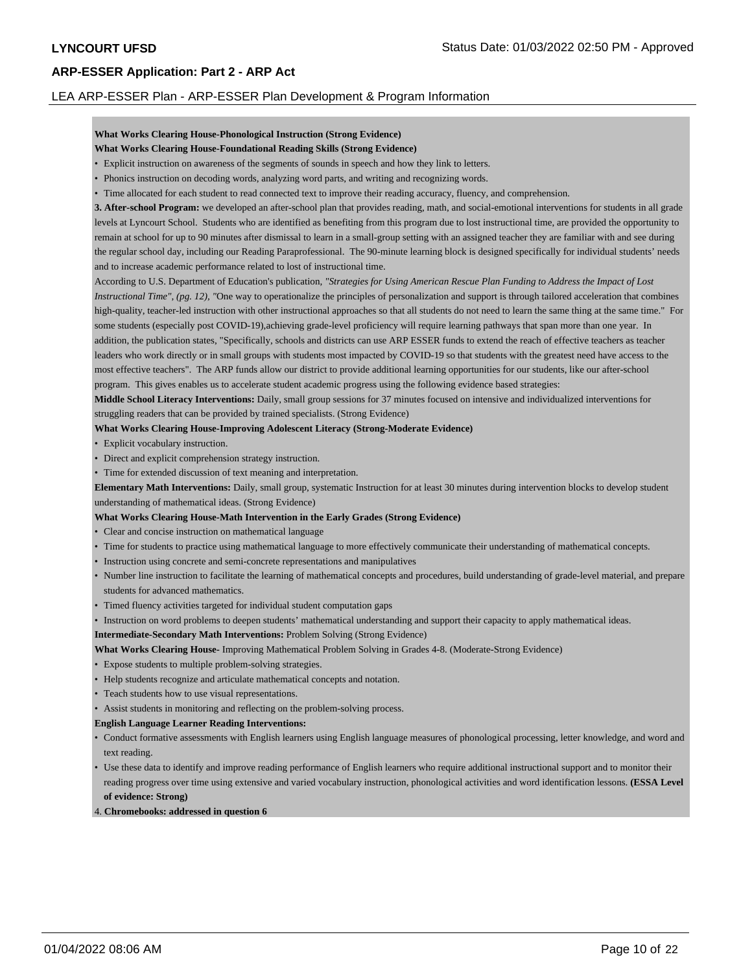### LEA ARP-ESSER Plan - ARP-ESSER Plan Development & Program Information

# **What Works Clearing House-Phonological Instruction (Strong Evidence)**

- **What Works Clearing House-Foundational Reading Skills (Strong Evidence)**
- Explicit instruction on awareness of the segments of sounds in speech and how they link to letters.
- Phonics instruction on decoding words, analyzing word parts, and writing and recognizing words.
- Time allocated for each student to read connected text to improve their reading accuracy, fluency, and comprehension.

**3. After-school Program:** we developed an after-school plan that provides reading, math, and social-emotional interventions for students in all grade levels at Lyncourt School. Students who are identified as benefiting from this program due to lost instructional time, are provided the opportunity to remain at school for up to 90 minutes after dismissal to learn in a small-group setting with an assigned teacher they are familiar with and see during the regular school day, including our Reading Paraprofessional. The 90-minute learning block is designed specifically for individual students' needs and to increase academic performance related to lost of instructional time.

According to U.S. Department of Education's publication*, "Strategies for Using American Rescue Plan Funding to Address the Impact of Lost Instructional Time", (pg. 12), "One way to operationalize the principles of personalization and support is through tailored acceleration that combines* high-quality, teacher-led instruction with other instructional approaches so that all students do not need to learn the same thing at the same time." For some students (especially post COVID-19),achieving grade-level proficiency will require learning pathways that span more than one year. In addition, the publication states, "Specifically, schools and districts can use ARP ESSER funds to extend the reach of effective teachers as teacher leaders who work directly or in small groups with students most impacted by COVID-19 so that students with the greatest need have access to the most effective teachers". The ARP funds allow our district to provide additional learning opportunities for our students, like our after-school program. This gives enables us to accelerate student academic progress using the following evidence based strategies:

**Middle School Literacy Interventions:** Daily, small group sessions for 37 minutes focused on intensive and individualized interventions for struggling readers that can be provided by trained specialists. (Strong Evidence)

#### **What Works Clearing House-Improving Adolescent Literacy (Strong-Moderate Evidence)**

- Explicit vocabulary instruction.
- Direct and explicit comprehension strategy instruction.
- Time for extended discussion of text meaning and interpretation.

**Elementary Math Interventions:** Daily, small group, systematic Instruction for at least 30 minutes during intervention blocks to develop student understanding of mathematical ideas. (Strong Evidence)

### **What Works Clearing House-Math Intervention in the Early Grades (Strong Evidence)**

- Clear and concise instruction on mathematical language
- Time for students to practice using mathematical language to more effectively communicate their understanding of mathematical concepts.
- Instruction using concrete and semi-concrete representations and manipulatives
- Number line instruction to facilitate the learning of mathematical concepts and procedures, build understanding of grade-level material, and prepare students for advanced mathematics.
- Timed fluency activities targeted for individual student computation gaps
- Instruction on word problems to deepen students' mathematical understanding and support their capacity to apply mathematical ideas.

**Intermediate-Secondary Math Interventions:** Problem Solving (Strong Evidence)

- **What Works Clearing House-** Improving Mathematical Problem Solving in Grades 4-8. (Moderate-Strong Evidence)
- Expose students to multiple problem-solving strategies.
- Help students recognize and articulate mathematical concepts and notation.
- Teach students how to use visual representations.
- Assist students in monitoring and reflecting on the problem-solving process.
- **English Language Learner Reading Interventions:**
- Conduct formative assessments with English learners using English language measures of phonological processing, letter knowledge, and word and text reading.
- Use these data to identify and improve reading performance of English learners who require additional instructional support and to monitor their reading progress over time using extensive and varied vocabulary instruction, phonological activities and word identification lessons. **(ESSA Level of evidence: Strong)**
- 4. **Chromebooks: addressed in question 6**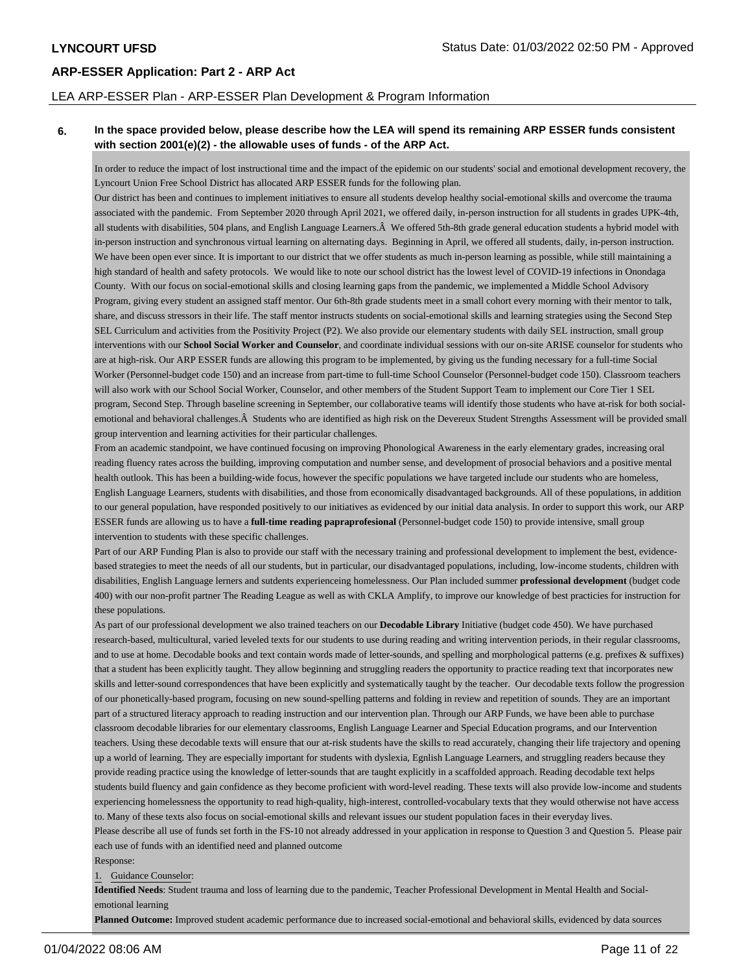### LEA ARP-ESSER Plan - ARP-ESSER Plan Development & Program Information

# **6. In the space provided below, please describe how the LEA will spend its remaining ARP ESSER funds consistent with section 2001(e)(2) - the allowable uses of funds - of the ARP Act.**

In order to reduce the impact of lost instructional time and the impact of the epidemic on our students' social and emotional development recovery, the Lyncourt Union Free School District has allocated ARP ESSER funds for the following plan.

Our district has been and continues to implement initiatives to ensure all students develop healthy social-emotional skills and overcome the trauma associated with the pandemic. From September 2020 through April 2021, we offered daily, in-person instruction for all students in grades UPK-4th, all students with disabilities, 504 plans, and English Language Learners. $\hat{A}$  We offered 5th-8th grade general education students a hybrid model with in-person instruction and synchronous virtual learning on alternating days. Beginning in April, we offered all students, daily, in-person instruction. We have been open ever since. It is important to our district that we offer students as much in-person learning as possible, while still maintaining a high standard of health and safety protocols. We would like to note our school district has the lowest level of COVID-19 infections in Onondaga County. With our focus on social-emotional skills and closing learning gaps from the pandemic, we implemented a Middle School Advisory Program, giving every student an assigned staff mentor. Our 6th-8th grade students meet in a small cohort every morning with their mentor to talk, share, and discuss stressors in their life. The staff mentor instructs students on social-emotional skills and learning strategies using the Second Step SEL Curriculum and activities from the Positivity Project (P2). We also provide our elementary students with daily SEL instruction, small group interventions with our **School Social Worker and Counselor**, and coordinate individual sessions with our on-site ARISE counselor for students who are at high-risk. Our ARP ESSER funds are allowing this program to be implemented, by giving us the funding necessary for a full-time Social Worker (Personnel-budget code 150) and an increase from part-time to full-time School Counselor (Personnel-budget code 150). Classroom teachers will also work with our School Social Worker, Counselor, and other members of the Student Support Team to implement our Core Tier 1 SEL program, Second Step. Through baseline screening in September, our collaborative teams will identify those students who have at-risk for both socialemotional and behavioral challenges. A Students who are identified as high risk on the Devereux Student Strengths Assessment will be provided small group intervention and learning activities for their particular challenges.

From an academic standpoint, we have continued focusing on improving Phonological Awareness in the early elementary grades, increasing oral reading fluency rates across the building, improving computation and number sense, and development of prosocial behaviors and a positive mental health outlook. This has been a building-wide focus, however the specific populations we have targeted include our students who are homeless, English Language Learners, students with disabilities, and those from economically disadvantaged backgrounds. All of these populations, in addition to our general population, have responded positively to our initiatives as evidenced by our initial data analysis. In order to support this work, our ARP ESSER funds are allowing us to have a **full-time reading papraprofesional** (Personnel-budget code 150) to provide intensive, small group intervention to students with these specific challenges.

Part of our ARP Funding Plan is also to provide our staff with the necessary training and professional development to implement the best, evidencebased strategies to meet the needs of all our students, but in particular, our disadvantaged populations, including, low-income students, children with disabilities, English Language lerners and sutdents experienceing homelessness. Our Plan included summer **professional development** (budget code 400) with our non-profit partner The Reading League as well as with CKLA Amplify, to improve our knowledge of best practicies for instruction for these populations.

As part of our professional development we also trained teachers on our **Decodable Library** Initiative (budget code 450). We have purchased research-based, multicultural, varied leveled texts for our students to use during reading and writing intervention periods, in their regular classrooms, and to use at home. Decodable books and text contain words made of letter-sounds, and spelling and morphological patterns (e.g. prefixes & suffixes) that a student has been explicitly taught. They allow beginning and struggling readers the opportunity to practice reading text that incorporates new skills and letter-sound correspondences that have been explicitly and systematically taught by the teacher. Our decodable texts follow the progression of our phonetically-based program, focusing on new sound-spelling patterns and folding in review and repetition of sounds. They are an important part of a structured literacy approach to reading instruction and our intervention plan. Through our ARP Funds, we have been able to purchase classroom decodable libraries for our elementary classrooms, English Language Learner and Special Education programs, and our Intervention teachers. Using these decodable texts will ensure that our at-risk students have the skills to read accurately, changing their life trajectory and opening up a world of learning. They are especially important for students with dyslexia, Egnlish Language Learners, and struggling readers because they provide reading practice using the knowledge of letter-sounds that are taught explicitly in a scaffolded approach. Reading decodable text helps students build fluency and gain confidence as they become proficient with word-level reading. These texts will also provide low-income and students experiencing homelessness the opportunity to read high-quality, high-interest, controlled-vocabulary texts that they would otherwise not have access to. Many of these texts also focus on social-emotional skills and relevant issues our student population faces in their everyday lives. Please describe all use of funds set forth in the FS-10 not already addressed in your application in response to Question 3 and Question 5. Please pair each use of funds with an identified need and planned outcome

#### Response:

### 1. Guidance Counselor:

**Identified Needs**: Student trauma and loss of learning due to the pandemic, Teacher Professional Development in Mental Health and Socialemotional learning

**Planned Outcome:** Improved student academic performance due to increased social-emotional and behavioral skills, evidenced by data sources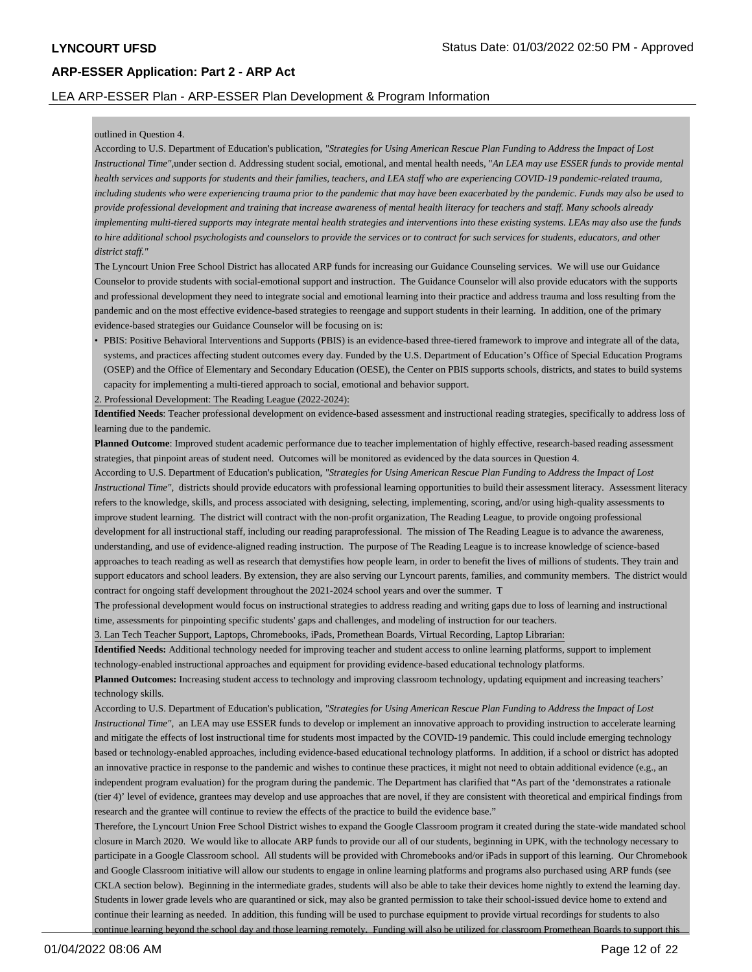# LEA ARP-ESSER Plan - ARP-ESSER Plan Development & Program Information

### outlined in Question 4.

According to U.S. Department of Education's publication*, "Strategies for Using American Rescue Plan Funding to Address the Impact of Lost Instructional Time",*under section d. Addressing student social, emotional, and mental health needs, "*An LEA may use ESSER funds to provide mental health services and supports for students and their families, teachers, and LEA staff who are experiencing COVID-19 pandemic-related trauma, including students who were experiencing trauma prior to the pandemic that may have been exacerbated by the pandemic. Funds may also be used to provide professional development and training that increase awareness of mental health literacy for teachers and staff. Many schools already implementing multi-tiered supports may integrate mental health strategies and interventions into these existing systems. LEAs may also use the funds to hire additional school psychologists and counselors to provide the services or to contract for such services for students, educators, and other district staff."*

The Lyncourt Union Free School District has allocated ARP funds for increasing our Guidance Counseling services. We will use our Guidance Counselor to provide students with social-emotional support and instruction. The Guidance Counselor will also provide educators with the supports and professional development they need to integrate social and emotional learning into their practice and address trauma and loss resulting from the pandemic and on the most effective evidence-based strategies to reengage and support students in their learning. In addition, one of the primary evidence-based strategies our Guidance Counselor will be focusing on is:

• PBIS: Positive Behavioral Interventions and Supports (PBIS) is an evidence-based three-tiered framework to improve and integrate all of the data, systems, and practices affecting student outcomes every day. Funded by the U.S. Department of Education's Office of Special Education Programs (OSEP) and the Office of Elementary and Secondary Education (OESE), the Center on PBIS supports schools, districts, and states to build systems capacity for implementing a multi-tiered approach to social, emotional and behavior support.

2. Professional Development: The Reading League (2022-2024):

**Identified Needs**: Teacher professional development on evidence-based assessment and instructional reading strategies, specifically to address loss of learning due to the pandemic.

**Planned Outcome**: Improved student academic performance due to teacher implementation of highly effective, research-based reading assessment strategies, that pinpoint areas of student need. Outcomes will be monitored as evidenced by the data sources in Question 4.

According to U.S. Department of Education's publication*, "Strategies for Using American Rescue Plan Funding to Address the Impact of Lost Instructional Time",* districts should provide educators with professional learning opportunities to build their assessment literacy. Assessment literacy refers to the knowledge, skills, and process associated with designing, selecting, implementing, scoring, and/or using high-quality assessments to improve student learning. The district will contract with the non-profit organization, The Reading League, to provide ongoing professional development for all instructional staff, including our reading paraprofessional. The mission of The Reading League is to advance the awareness, understanding, and use of evidence-aligned reading instruction. The purpose of The Reading League is to increase knowledge of science-based approaches to teach reading as well as research that demystifies how people learn, in order to benefit the lives of millions of students. They train and support educators and school leaders. By extension, they are also serving our Lyncourt parents, families, and community members. The district would contract for ongoing staff development throughout the 2021-2024 school years and over the summer. T

The professional development would focus on instructional strategies to address reading and writing gaps due to loss of learning and instructional time, assessments for pinpointing specific students' gaps and challenges, and modeling of instruction for our teachers.

3. Lan Tech Teacher Support, Laptops, Chromebooks, iPads, Promethean Boards, Virtual Recording, Laptop Librarian:

**Identified Needs:** Additional technology needed for improving teacher and student access to online learning platforms, support to implement

technology-enabled instructional approaches and equipment for providing evidence-based educational technology platforms.

Planned Outcomes: Increasing student access to technology and improving classroom technology, updating equipment and increasing teachers' technology skills.

According to U.S. Department of Education's publication*, "Strategies for Using American Rescue Plan Funding to Address the Impact of Lost Instructional Time"*, an LEA may use ESSER funds to develop or implement an innovative approach to providing instruction to accelerate learning and mitigate the effects of lost instructional time for students most impacted by the COVID-19 pandemic. This could include emerging technology based or technology-enabled approaches, including evidence-based educational technology platforms. In addition, if a school or district has adopted an innovative practice in response to the pandemic and wishes to continue these practices, it might not need to obtain additional evidence (e.g., an independent program evaluation) for the program during the pandemic. The Department has clarified that "As part of the 'demonstrates a rationale (tier 4)' level of evidence, grantees may develop and use approaches that are novel, if they are consistent with theoretical and empirical findings from research and the grantee will continue to review the effects of the practice to build the evidence base."

Therefore, the Lyncourt Union Free School District wishes to expand the Google Classroom program it created during the state-wide mandated school closure in March 2020. We would like to allocate ARP funds to provide our all of our students, beginning in UPK, with the technology necessary to participate in a Google Classroom school. All students will be provided with Chromebooks and/or iPads in support of this learning. Our Chromebook and Google Classroom initiative will allow our students to engage in online learning platforms and programs also purchased using ARP funds (see CKLA section below). Beginning in the intermediate grades, students will also be able to take their devices home nightly to extend the learning day. Students in lower grade levels who are quarantined or sick, may also be granted permission to take their school-issued device home to extend and continue their learning as needed. In addition, this funding will be used to purchase equipment to provide virtual recordings for students to also continue learning beyond the school day and those learning remotely. Funding will also be utilized for classroom Promethean Boards to support this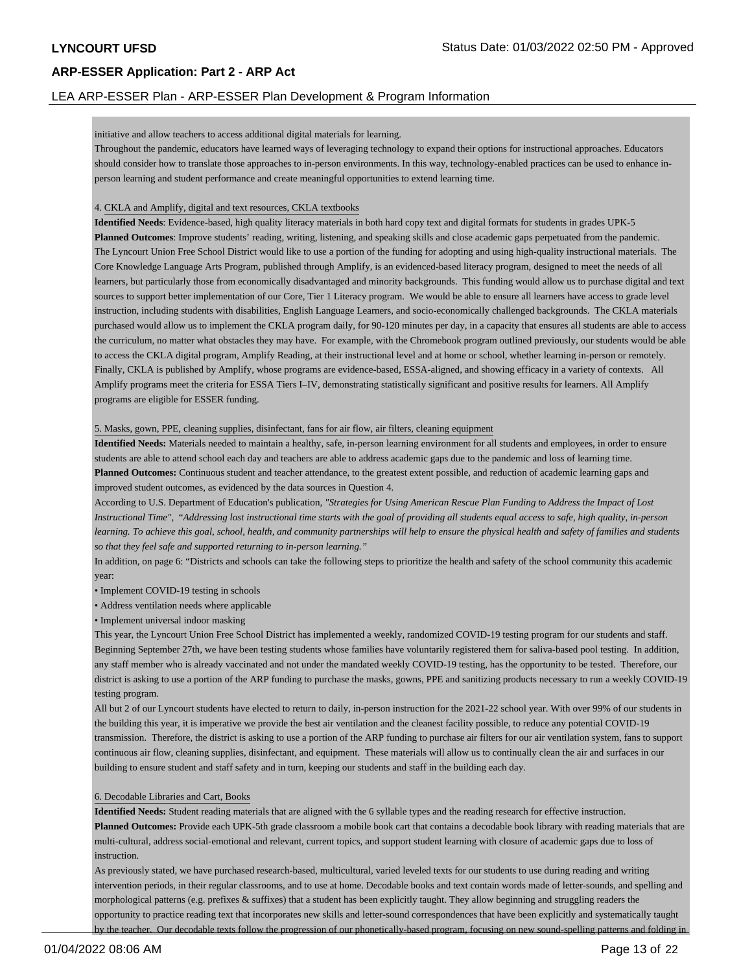### LEA ARP-ESSER Plan - ARP-ESSER Plan Development & Program Information

#### initiative and allow teachers to access additional digital materials for learning.

Throughout the pandemic, educators have learned ways of leveraging technology to expand their options for instructional approaches. Educators should consider how to translate those approaches to in-person environments. In this way, technology-enabled practices can be used to enhance inperson learning and student performance and create meaningful opportunities to extend learning time.

#### 4. CKLA and Amplify, digital and text resources, CKLA textbooks

**Identified Needs**: Evidence-based, high quality literacy materials in both hard copy text and digital formats for students in grades UPK-5 **Planned Outcomes**: Improve students' reading, writing, listening, and speaking skills and close academic gaps perpetuated from the pandemic. The Lyncourt Union Free School District would like to use a portion of the funding for adopting and using high-quality instructional materials. The Core Knowledge Language Arts Program, published through Amplify, is an evidenced-based literacy program, designed to meet the needs of all learners, but particularly those from economically disadvantaged and minority backgrounds. This funding would allow us to purchase digital and text sources to support better implementation of our Core, Tier 1 Literacy program. We would be able to ensure all learners have access to grade level instruction, including students with disabilities, English Language Learners, and socio-economically challenged backgrounds. The CKLA materials purchased would allow us to implement the CKLA program daily, for 90-120 minutes per day, in a capacity that ensures all students are able to access the curriculum, no matter what obstacles they may have. For example, with the Chromebook program outlined previously, our students would be able to access the CKLA digital program, Amplify Reading, at their instructional level and at home or school, whether learning in-person or remotely. Finally, CKLA is published by Amplify, whose programs are evidence-based, ESSA-aligned, and showing efficacy in a variety of contexts. All Amplify programs meet the criteria for ESSA Tiers I–IV, demonstrating statistically significant and positive results for learners. All Amplify programs are eligible for ESSER funding.

#### 5. Masks, gown, PPE, cleaning supplies, disinfectant, fans for air flow, air filters, cleaning equipment

**Identified Needs:** Materials needed to maintain a healthy, safe, in-person learning environment for all students and employees, in order to ensure students are able to attend school each day and teachers are able to address academic gaps due to the pandemic and loss of learning time. **Planned Outcomes:** Continuous student and teacher attendance, to the greatest extent possible, and reduction of academic learning gaps and improved student outcomes, as evidenced by the data sources in Question 4.

According to U.S. Department of Education's publication*, "Strategies for Using American Rescue Plan Funding to Address the Impact of Lost Instructional Time",* "*Addressing lost instructional time starts with the goal of providing all students equal access to safe, high quality, in-person learning. To achieve this goal, school, health, and community partnerships will help to ensure the physical health and safety of families and students so that they feel safe and supported returning to in-person learning."*

In addition, on page 6: "Districts and schools can take the following steps to prioritize the health and safety of the school community this academic year:

- Implement COVID-19 testing in schools
- Address ventilation needs where applicable
- Implement universal indoor masking

This year, the Lyncourt Union Free School District has implemented a weekly, randomized COVID-19 testing program for our students and staff. Beginning September 27th, we have been testing students whose families have voluntarily registered them for saliva-based pool testing. In addition, any staff member who is already vaccinated and not under the mandated weekly COVID-19 testing, has the opportunity to be tested. Therefore, our district is asking to use a portion of the ARP funding to purchase the masks, gowns, PPE and sanitizing products necessary to run a weekly COVID-19 testing program.

All but 2 of our Lyncourt students have elected to return to daily, in-person instruction for the 2021-22 school year. With over 99% of our students in the building this year, it is imperative we provide the best air ventilation and the cleanest facility possible, to reduce any potential COVID-19 transmission. Therefore, the district is asking to use a portion of the ARP funding to purchase air filters for our air ventilation system, fans to support continuous air flow, cleaning supplies, disinfectant, and equipment. These materials will allow us to continually clean the air and surfaces in our building to ensure student and staff safety and in turn, keeping our students and staff in the building each day.

#### 6. Decodable Libraries and Cart, Books

**Identified Needs:** Student reading materials that are aligned with the 6 syllable types and the reading research for effective instruction. **Planned Outcomes:** Provide each UPK-5th grade classroom a mobile book cart that contains a decodable book library with reading materials that are multi-cultural, address social-emotional and relevant, current topics, and support student learning with closure of academic gaps due to loss of instruction.

As previously stated, we have purchased research-based, multicultural, varied leveled texts for our students to use during reading and writing intervention periods, in their regular classrooms, and to use at home. Decodable books and text contain words made of letter-sounds, and spelling and morphological patterns (e.g. prefixes & suffixes) that a student has been explicitly taught. They allow beginning and struggling readers the opportunity to practice reading text that incorporates new skills and letter-sound correspondences that have been explicitly and systematically taught by the teacher. Our decodable texts follow the progression of our phonetically-based program, focusing on new sound-spelling patterns and folding in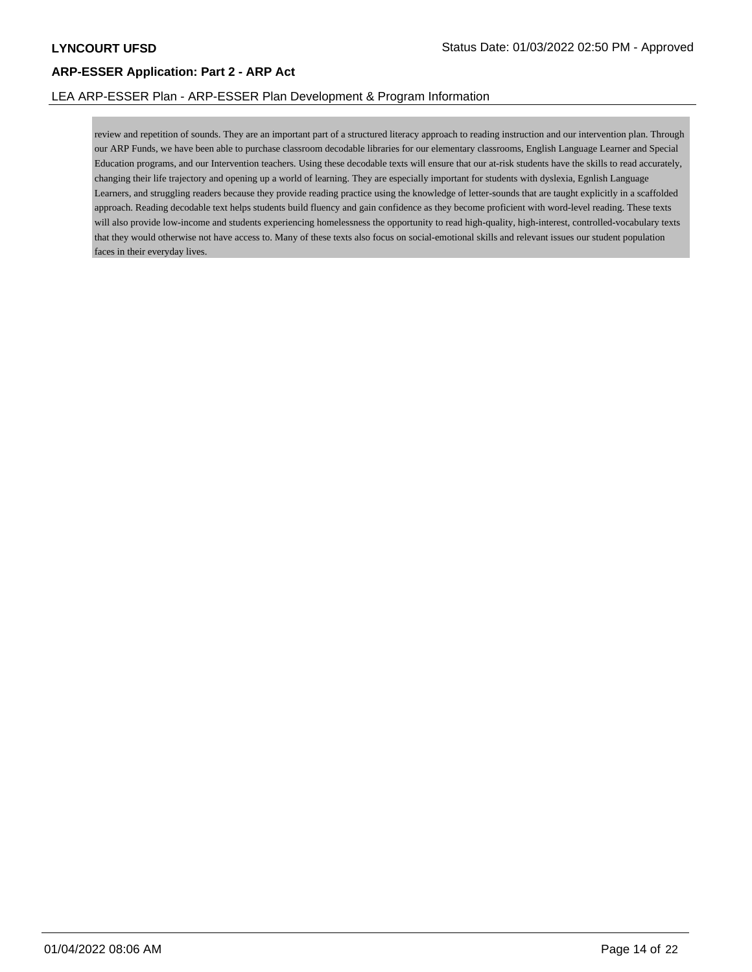# LEA ARP-ESSER Plan - ARP-ESSER Plan Development & Program Information

review and repetition of sounds. They are an important part of a structured literacy approach to reading instruction and our intervention plan. Through our ARP Funds, we have been able to purchase classroom decodable libraries for our elementary classrooms, English Language Learner and Special Education programs, and our Intervention teachers. Using these decodable texts will ensure that our at-risk students have the skills to read accurately, changing their life trajectory and opening up a world of learning. They are especially important for students with dyslexia, Egnlish Language Learners, and struggling readers because they provide reading practice using the knowledge of letter-sounds that are taught explicitly in a scaffolded approach. Reading decodable text helps students build fluency and gain confidence as they become proficient with word-level reading. These texts will also provide low-income and students experiencing homelessness the opportunity to read high-quality, high-interest, controlled-vocabulary texts that they would otherwise not have access to. Many of these texts also focus on social-emotional skills and relevant issues our student population faces in their everyday lives.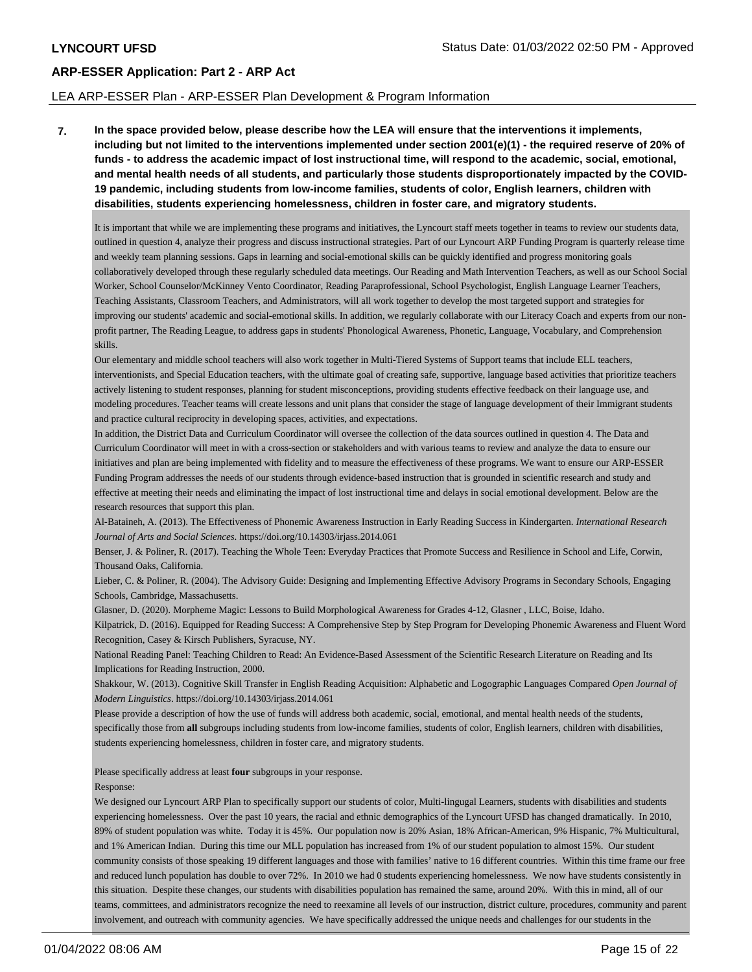### LEA ARP-ESSER Plan - ARP-ESSER Plan Development & Program Information

**7. In the space provided below, please describe how the LEA will ensure that the interventions it implements, including but not limited to the interventions implemented under section 2001(e)(1) - the required reserve of 20% of funds - to address the academic impact of lost instructional time, will respond to the academic, social, emotional, and mental health needs of all students, and particularly those students disproportionately impacted by the COVID-19 pandemic, including students from low-income families, students of color, English learners, children with disabilities, students experiencing homelessness, children in foster care, and migratory students.**

It is important that while we are implementing these programs and initiatives, the Lyncourt staff meets together in teams to review our students data, outlined in question 4, analyze their progress and discuss instructional strategies. Part of our Lyncourt ARP Funding Program is quarterly release time and weekly team planning sessions. Gaps in learning and social-emotional skills can be quickly identified and progress monitoring goals collaboratively developed through these regularly scheduled data meetings. Our Reading and Math Intervention Teachers, as well as our School Social Worker, School Counselor/McKinney Vento Coordinator, Reading Paraprofessional, School Psychologist, English Language Learner Teachers, Teaching Assistants, Classroom Teachers, and Administrators, will all work together to develop the most targeted support and strategies for improving our students' academic and social-emotional skills. In addition, we regularly collaborate with our Literacy Coach and experts from our nonprofit partner, The Reading League, to address gaps in students' Phonological Awareness, Phonetic, Language, Vocabulary, and Comprehension skills.

Our elementary and middle school teachers will also work together in Multi-Tiered Systems of Support teams that include ELL teachers, interventionists, and Special Education teachers, with the ultimate goal of creating safe, supportive, language based activities that prioritize teachers actively listening to student responses, planning for student misconceptions, providing students effective feedback on their language use, and modeling procedures. Teacher teams will create lessons and unit plans that consider the stage of language development of their Immigrant students and practice cultural reciprocity in developing spaces, activities, and expectations.

In addition, the District Data and Curriculum Coordinator will oversee the collection of the data sources outlined in question 4. The Data and Curriculum Coordinator will meet in with a cross-section or stakeholders and with various teams to review and analyze the data to ensure our initiatives and plan are being implemented with fidelity and to measure the effectiveness of these programs. We want to ensure our ARP-ESSER Funding Program addresses the needs of our students through evidence-based instruction that is grounded in scientific research and study and effective at meeting their needs and eliminating the impact of lost instructional time and delays in social emotional development. Below are the research resources that support this plan.

Al-Bataineh, A. (2013). The Effectiveness of Phonemic Awareness Instruction in Early Reading Success in Kindergarten. *International Research Journal of Arts and Social Sciences*. https://doi.org/10.14303/irjass.2014.061

Benser, J. & Poliner, R. (2017). Teaching the Whole Teen: Everyday Practices that Promote Success and Resilience in School and Life, Corwin, Thousand Oaks, California.

Lieber, C. & Poliner, R. (2004). The Advisory Guide: Designing and Implementing Effective Advisory Programs in Secondary Schools, Engaging Schools, Cambridge, Massachusetts.

Glasner, D. (2020). Morpheme Magic: Lessons to Build Morphological Awareness for Grades 4-12, Glasner , LLC, Boise, Idaho.

Kilpatrick, D. (2016). Equipped for Reading Success: A Comprehensive Step by Step Program for Developing Phonemic Awareness and Fluent Word Recognition, Casey & Kirsch Publishers, Syracuse, NY.

National Reading Panel: Teaching Children to Read: An Evidence-Based Assessment of the Scientific Research Literature on Reading and Its Implications for Reading Instruction, 2000.

Shakkour, W. (2013). Cognitive Skill Transfer in English Reading Acquisition: Alphabetic and Logographic Languages Compared *Open Journal of Modern Linguistics*. https://doi.org/10.14303/irjass.2014.061

Please provide a description of how the use of funds will address both academic, social, emotional, and mental health needs of the students, specifically those from **all** subgroups including students from low-income families, students of color, English learners, children with disabilities, students experiencing homelessness, children in foster care, and migratory students.

Please specifically address at least **four** subgroups in your response.

#### Response:

We designed our Lyncourt ARP Plan to specifically support our students of color, Multi-lingugal Learners, students with disabilities and students experiencing homelessness. Over the past 10 years, the racial and ethnic demographics of the Lyncourt UFSD has changed dramatically. In 2010, 89% of student population was white. Today it is 45%. Our population now is 20% Asian, 18% African-American, 9% Hispanic, 7% Multicultural, and 1% American Indian. During this time our MLL population has increased from 1% of our student population to almost 15%. Our student community consists of those speaking 19 different languages and those with families' native to 16 different countries. Within this time frame our free and reduced lunch population has double to over 72%. In 2010 we had 0 students experiencing homelessness. We now have students consistently in this situation. Despite these changes, our students with disabilities population has remained the same, around 20%. With this in mind, all of our teams, committees, and administrators recognize the need to reexamine all levels of our instruction, district culture, procedures, community and parent involvement, and outreach with community agencies. We have specifically addressed the unique needs and challenges for our students in the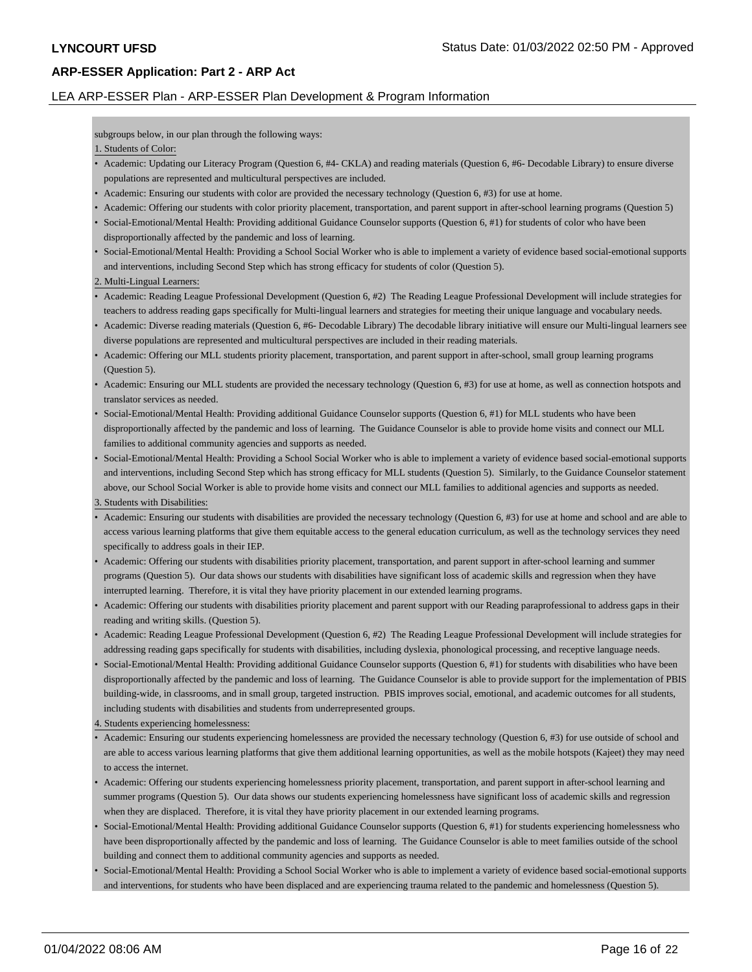# LEA ARP-ESSER Plan - ARP-ESSER Plan Development & Program Information

subgroups below, in our plan through the following ways:

### 1. Students of Color:

- Academic: Updating our Literacy Program (Question 6, #4- CKLA) and reading materials (Question 6, #6- Decodable Library) to ensure diverse populations are represented and multicultural perspectives are included.
- Academic: Ensuring our students with color are provided the necessary technology (Question 6, #3) for use at home.
- Academic: Offering our students with color priority placement, transportation, and parent support in after-school learning programs (Question 5)
- Social-Emotional/Mental Health: Providing additional Guidance Counselor supports (Question 6, #1) for students of color who have been disproportionally affected by the pandemic and loss of learning.
- Social-Emotional/Mental Health: Providing a School Social Worker who is able to implement a variety of evidence based social-emotional supports and interventions, including Second Step which has strong efficacy for students of color (Question 5).
- 2. Multi-Lingual Learners:
- Academic: Reading League Professional Development (Question 6, #2) The Reading League Professional Development will include strategies for teachers to address reading gaps specifically for Multi-lingual learners and strategies for meeting their unique language and vocabulary needs.
- Academic: Diverse reading materials (Question 6, #6- Decodable Library) The decodable library initiative will ensure our Multi-lingual learners see diverse populations are represented and multicultural perspectives are included in their reading materials.
- Academic: Offering our MLL students priority placement, transportation, and parent support in after-school, small group learning programs (Question 5).
- Academic: Ensuring our MLL students are provided the necessary technology (Question 6, #3) for use at home, as well as connection hotspots and translator services as needed.
- Social-Emotional/Mental Health: Providing additional Guidance Counselor supports (Question 6, #1) for MLL students who have been disproportionally affected by the pandemic and loss of learning. The Guidance Counselor is able to provide home visits and connect our MLL families to additional community agencies and supports as needed.
- Social-Emotional/Mental Health: Providing a School Social Worker who is able to implement a variety of evidence based social-emotional supports and interventions, including Second Step which has strong efficacy for MLL students (Question 5). Similarly, to the Guidance Counselor statement above, our School Social Worker is able to provide home visits and connect our MLL families to additional agencies and supports as needed.

3. Students with Disabilities:

- Academic: Ensuring our students with disabilities are provided the necessary technology (Question 6, #3) for use at home and school and are able to access various learning platforms that give them equitable access to the general education curriculum, as well as the technology services they need specifically to address goals in their IEP.
- Academic: Offering our students with disabilities priority placement, transportation, and parent support in after-school learning and summer programs (Question 5). Our data shows our students with disabilities have significant loss of academic skills and regression when they have interrupted learning. Therefore, it is vital they have priority placement in our extended learning programs.
- Academic: Offering our students with disabilities priority placement and parent support with our Reading paraprofessional to address gaps in their reading and writing skills. (Question 5).
- Academic: Reading League Professional Development (Question 6, #2) The Reading League Professional Development will include strategies for addressing reading gaps specifically for students with disabilities, including dyslexia, phonological processing, and receptive language needs.
- Social-Emotional/Mental Health: Providing additional Guidance Counselor supports (Question 6, #1) for students with disabilities who have been disproportionally affected by the pandemic and loss of learning. The Guidance Counselor is able to provide support for the implementation of PBIS building-wide, in classrooms, and in small group, targeted instruction. PBIS improves social, emotional, and academic outcomes for all students, including students with disabilities and students from underrepresented groups.
- 4. Students experiencing homelessness:
- Academic: Ensuring our students experiencing homelessness are provided the necessary technology (Question 6, #3) for use outside of school and are able to access various learning platforms that give them additional learning opportunities, as well as the mobile hotspots (Kajeet) they may need to access the internet.
- Academic: Offering our students experiencing homelessness priority placement, transportation, and parent support in after-school learning and summer programs (Question 5). Our data shows our students experiencing homelessness have significant loss of academic skills and regression when they are displaced. Therefore, it is vital they have priority placement in our extended learning programs.
- Social-Emotional/Mental Health: Providing additional Guidance Counselor supports (Question 6, #1) for students experiencing homelessness who have been disproportionally affected by the pandemic and loss of learning. The Guidance Counselor is able to meet families outside of the school building and connect them to additional community agencies and supports as needed.
- Social-Emotional/Mental Health: Providing a School Social Worker who is able to implement a variety of evidence based social-emotional supports and interventions, for students who have been displaced and are experiencing trauma related to the pandemic and homelessness (Question 5).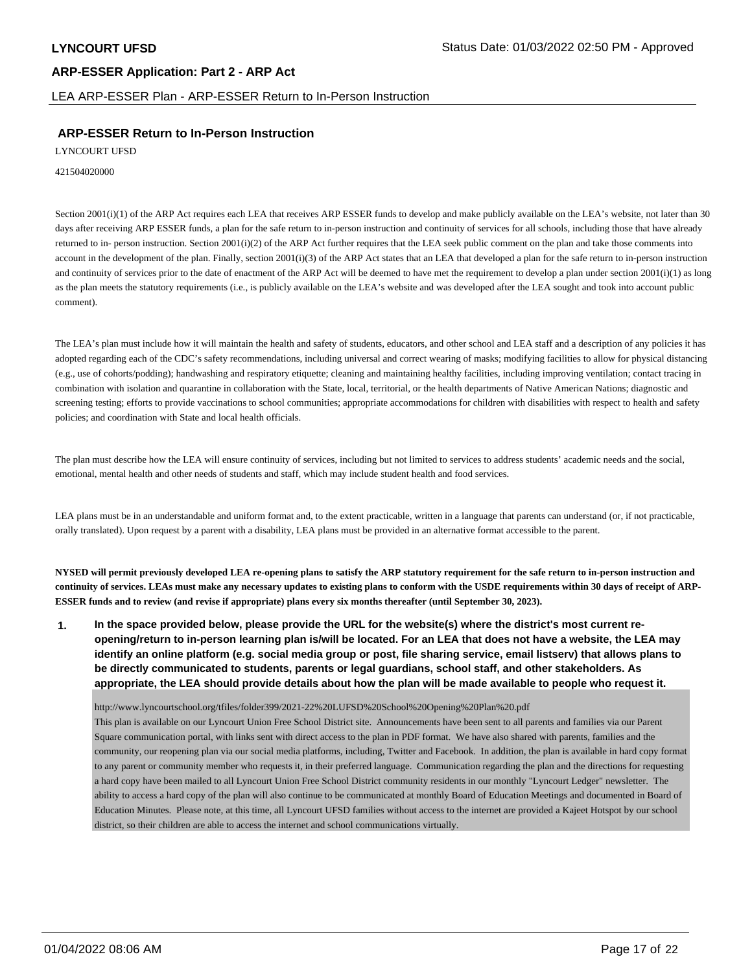LEA ARP-ESSER Plan - ARP-ESSER Return to In-Person Instruction

# **ARP-ESSER Return to In-Person Instruction**

LYNCOURT UFSD

#### 421504020000

Section 2001(i)(1) of the ARP Act requires each LEA that receives ARP ESSER funds to develop and make publicly available on the LEA's website, not later than 30 days after receiving ARP ESSER funds, a plan for the safe return to in-person instruction and continuity of services for all schools, including those that have already returned to in- person instruction. Section 2001(i)(2) of the ARP Act further requires that the LEA seek public comment on the plan and take those comments into account in the development of the plan. Finally, section 2001(i)(3) of the ARP Act states that an LEA that developed a plan for the safe return to in-person instruction and continuity of services prior to the date of enactment of the ARP Act will be deemed to have met the requirement to develop a plan under section  $2001(i)(1)$  as long as the plan meets the statutory requirements (i.e., is publicly available on the LEA's website and was developed after the LEA sought and took into account public comment).

The LEA's plan must include how it will maintain the health and safety of students, educators, and other school and LEA staff and a description of any policies it has adopted regarding each of the CDC's safety recommendations, including universal and correct wearing of masks; modifying facilities to allow for physical distancing (e.g., use of cohorts/podding); handwashing and respiratory etiquette; cleaning and maintaining healthy facilities, including improving ventilation; contact tracing in combination with isolation and quarantine in collaboration with the State, local, territorial, or the health departments of Native American Nations; diagnostic and screening testing; efforts to provide vaccinations to school communities; appropriate accommodations for children with disabilities with respect to health and safety policies; and coordination with State and local health officials.

The plan must describe how the LEA will ensure continuity of services, including but not limited to services to address students' academic needs and the social, emotional, mental health and other needs of students and staff, which may include student health and food services.

LEA plans must be in an understandable and uniform format and, to the extent practicable, written in a language that parents can understand (or, if not practicable, orally translated). Upon request by a parent with a disability, LEA plans must be provided in an alternative format accessible to the parent.

**NYSED will permit previously developed LEA re-opening plans to satisfy the ARP statutory requirement for the safe return to in-person instruction and continuity of services. LEAs must make any necessary updates to existing plans to conform with the USDE requirements within 30 days of receipt of ARP-ESSER funds and to review (and revise if appropriate) plans every six months thereafter (until September 30, 2023).**

**1. In the space provided below, please provide the URL for the website(s) where the district's most current reopening/return to in-person learning plan is/will be located. For an LEA that does not have a website, the LEA may identify an online platform (e.g. social media group or post, file sharing service, email listserv) that allows plans to be directly communicated to students, parents or legal guardians, school staff, and other stakeholders. As appropriate, the LEA should provide details about how the plan will be made available to people who request it.**

http://www.lyncourtschool.org/tfiles/folder399/2021-22%20LUFSD%20School%20Opening%20Plan%20.pdf

This plan is available on our Lyncourt Union Free School District site. Announcements have been sent to all parents and families via our Parent Square communication portal, with links sent with direct access to the plan in PDF format. We have also shared with parents, families and the community, our reopening plan via our social media platforms, including, Twitter and Facebook. In addition, the plan is available in hard copy format to any parent or community member who requests it, in their preferred language. Communication regarding the plan and the directions for requesting a hard copy have been mailed to all Lyncourt Union Free School District community residents in our monthly "Lyncourt Ledger" newsletter. The ability to access a hard copy of the plan will also continue to be communicated at monthly Board of Education Meetings and documented in Board of Education Minutes. Please note, at this time, all Lyncourt UFSD families without access to the internet are provided a Kajeet Hotspot by our school district, so their children are able to access the internet and school communications virtually.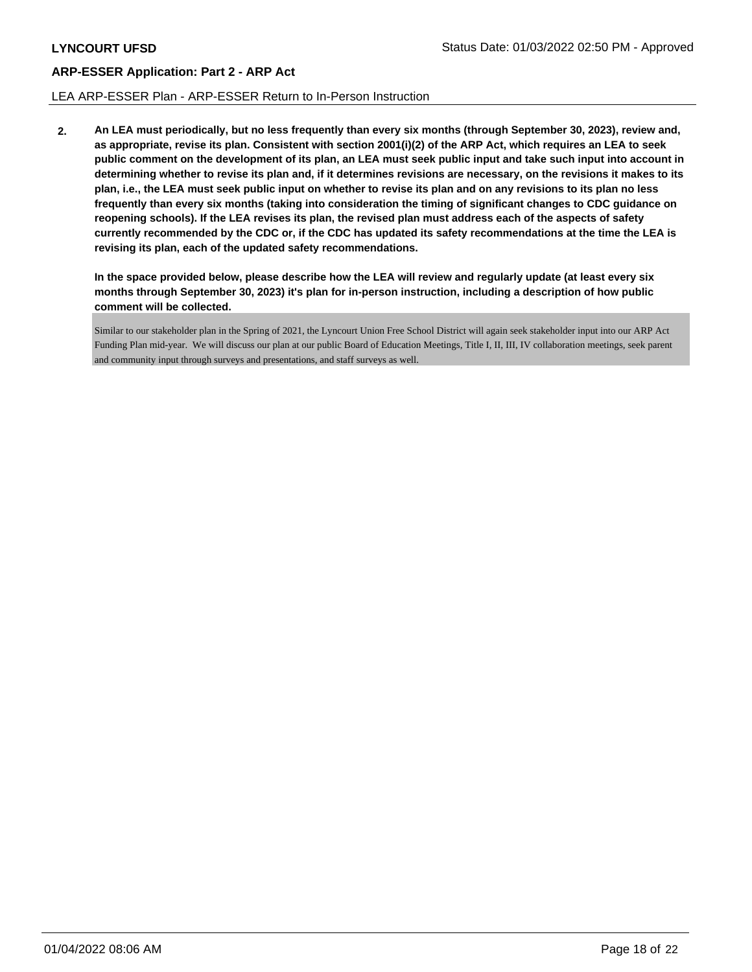### LEA ARP-ESSER Plan - ARP-ESSER Return to In-Person Instruction

**2. An LEA must periodically, but no less frequently than every six months (through September 30, 2023), review and, as appropriate, revise its plan. Consistent with section 2001(i)(2) of the ARP Act, which requires an LEA to seek public comment on the development of its plan, an LEA must seek public input and take such input into account in determining whether to revise its plan and, if it determines revisions are necessary, on the revisions it makes to its plan, i.e., the LEA must seek public input on whether to revise its plan and on any revisions to its plan no less frequently than every six months (taking into consideration the timing of significant changes to CDC guidance on reopening schools). If the LEA revises its plan, the revised plan must address each of the aspects of safety currently recommended by the CDC or, if the CDC has updated its safety recommendations at the time the LEA is revising its plan, each of the updated safety recommendations.**

**In the space provided below, please describe how the LEA will review and regularly update (at least every six months through September 30, 2023) it's plan for in-person instruction, including a description of how public comment will be collected.**

Similar to our stakeholder plan in the Spring of 2021, the Lyncourt Union Free School District will again seek stakeholder input into our ARP Act Funding Plan mid-year. We will discuss our plan at our public Board of Education Meetings, Title I, II, III, IV collaboration meetings, seek parent and community input through surveys and presentations, and staff surveys as well.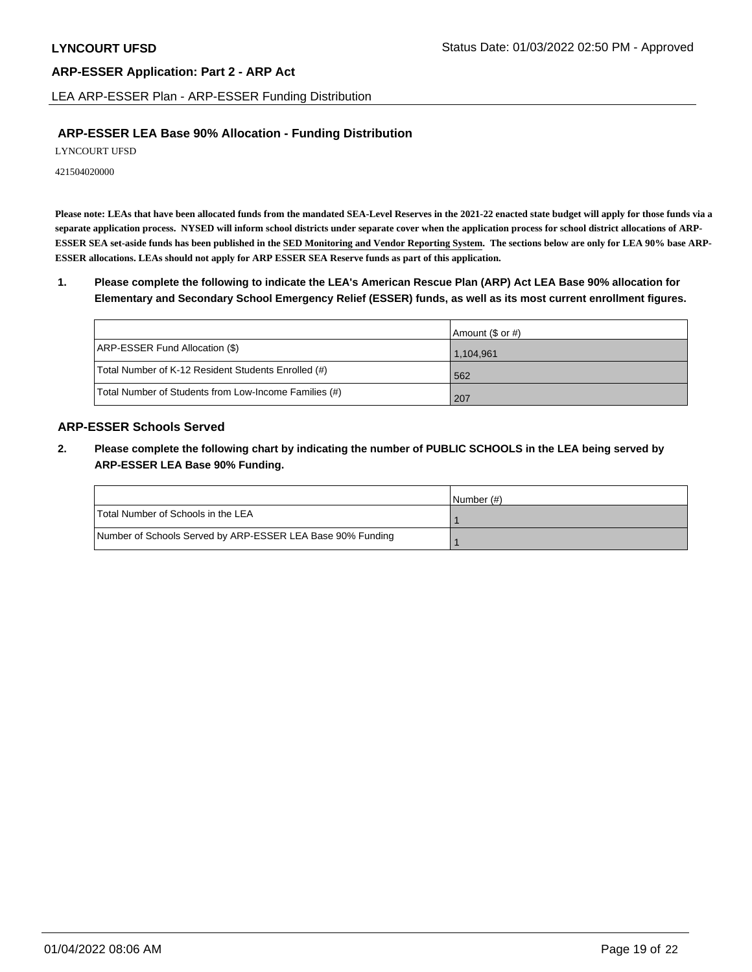LEA ARP-ESSER Plan - ARP-ESSER Funding Distribution

# **ARP-ESSER LEA Base 90% Allocation - Funding Distribution**

LYNCOURT UFSD

421504020000

**Please note: LEAs that have been allocated funds from the mandated SEA-Level Reserves in the 2021-22 enacted state budget will apply for those funds via a separate application process. NYSED will inform school districts under separate cover when the application process for school district allocations of ARP-ESSER SEA set-aside funds has been published in the SED Monitoring and Vendor Reporting System. The sections below are only for LEA 90% base ARP-ESSER allocations. LEAs should not apply for ARP ESSER SEA Reserve funds as part of this application.**

**1. Please complete the following to indicate the LEA's American Rescue Plan (ARP) Act LEA Base 90% allocation for Elementary and Secondary School Emergency Relief (ESSER) funds, as well as its most current enrollment figures.**

|                                                       | Amount (\$ or #) |
|-------------------------------------------------------|------------------|
| ARP-ESSER Fund Allocation (\$)                        | 1,104,961        |
| Total Number of K-12 Resident Students Enrolled (#)   | 562              |
| Total Number of Students from Low-Income Families (#) | 207              |

# **ARP-ESSER Schools Served**

**2. Please complete the following chart by indicating the number of PUBLIC SCHOOLS in the LEA being served by ARP-ESSER LEA Base 90% Funding.**

|                                                            | INumber (#) |
|------------------------------------------------------------|-------------|
| Total Number of Schools in the LEA                         |             |
| Number of Schools Served by ARP-ESSER LEA Base 90% Funding |             |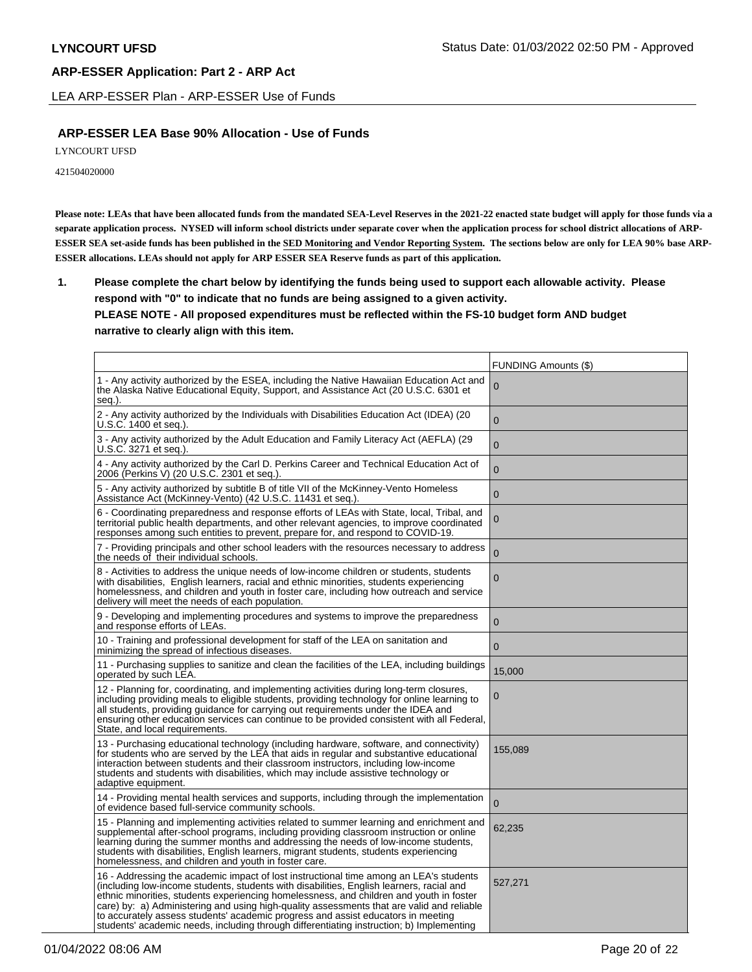LEA ARP-ESSER Plan - ARP-ESSER Use of Funds

# **ARP-ESSER LEA Base 90% Allocation - Use of Funds**

LYNCOURT UFSD

421504020000

**Please note: LEAs that have been allocated funds from the mandated SEA-Level Reserves in the 2021-22 enacted state budget will apply for those funds via a separate application process. NYSED will inform school districts under separate cover when the application process for school district allocations of ARP-ESSER SEA set-aside funds has been published in the SED Monitoring and Vendor Reporting System. The sections below are only for LEA 90% base ARP-ESSER allocations. LEAs should not apply for ARP ESSER SEA Reserve funds as part of this application.**

**1. Please complete the chart below by identifying the funds being used to support each allowable activity. Please respond with "0" to indicate that no funds are being assigned to a given activity. PLEASE NOTE - All proposed expenditures must be reflected within the FS-10 budget form AND budget narrative to clearly align with this item.**

|                                                                                                                                                                                                                                                                                                                                                                                                                                                                                                                                                            | FUNDING Amounts (\$) |
|------------------------------------------------------------------------------------------------------------------------------------------------------------------------------------------------------------------------------------------------------------------------------------------------------------------------------------------------------------------------------------------------------------------------------------------------------------------------------------------------------------------------------------------------------------|----------------------|
| 1 - Any activity authorized by the ESEA, including the Native Hawaiian Education Act and<br>the Alaska Native Educational Equity, Support, and Assistance Act (20 U.S.C. 6301 et<br>seq.).                                                                                                                                                                                                                                                                                                                                                                 | 0                    |
| 2 - Any activity authorized by the Individuals with Disabilities Education Act (IDEA) (20<br>U.S.C. 1400 et seq.).                                                                                                                                                                                                                                                                                                                                                                                                                                         | $\overline{0}$       |
| 3 - Any activity authorized by the Adult Education and Family Literacy Act (AEFLA) (29<br>U.S.C. 3271 et seq.).                                                                                                                                                                                                                                                                                                                                                                                                                                            | $\mathbf 0$          |
| 4 - Any activity authorized by the Carl D. Perkins Career and Technical Education Act of<br>2006 (Perkins V) (20 U.S.C. 2301 et seq.).                                                                                                                                                                                                                                                                                                                                                                                                                     | $\overline{0}$       |
| 5 - Any activity authorized by subtitle B of title VII of the McKinney-Vento Homeless<br>Assistance Act (McKinney-Vento) (42 U.S.C. 11431 et seg.).                                                                                                                                                                                                                                                                                                                                                                                                        | $\mathbf 0$          |
| 6 - Coordinating preparedness and response efforts of LEAs with State, local, Tribal, and<br>territorial public health departments, and other relevant agencies, to improve coordinated<br>responses among such entities to prevent, prepare for, and respond to COVID-19.                                                                                                                                                                                                                                                                                 | $\boldsymbol{0}$     |
| 7 - Providing principals and other school leaders with the resources necessary to address<br>the needs of their individual schools.                                                                                                                                                                                                                                                                                                                                                                                                                        | $\mathbf 0$          |
| 8 - Activities to address the unique needs of low-income children or students, students<br>with disabilities, English learners, racial and ethnic minorities, students experiencing<br>homelessness, and children and youth in foster care, including how outreach and service<br>delivery will meet the needs of each population.                                                                                                                                                                                                                         | $\overline{0}$       |
| 9 - Developing and implementing procedures and systems to improve the preparedness<br>and response efforts of LEAs.                                                                                                                                                                                                                                                                                                                                                                                                                                        | $\overline{0}$       |
| 10 - Training and professional development for staff of the LEA on sanitation and<br>minimizing the spread of infectious diseases.                                                                                                                                                                                                                                                                                                                                                                                                                         | $\mathbf{0}$         |
| 11 - Purchasing supplies to sanitize and clean the facilities of the LEA, including buildings<br>operated by such LEA.                                                                                                                                                                                                                                                                                                                                                                                                                                     | 15,000               |
| 12 - Planning for, coordinating, and implementing activities during long-term closures,<br>including providing meals to eligible students, providing technology for online learning to<br>all students, providing guidance for carrying out requirements under the IDEA and<br>ensuring other education services can continue to be provided consistent with all Federal,<br>State, and local requirements.                                                                                                                                                | 0                    |
| 13 - Purchasing educational technology (including hardware, software, and connectivity)<br>for students who are served by the LEA that aids in regular and substantive educational<br>interaction between students and their classroom instructors, including low-income<br>students and students with disabilities, which may include assistive technology or<br>adaptive equipment.                                                                                                                                                                      | 155,089              |
| 14 - Providing mental health services and supports, including through the implementation<br>of evidence based full-service community schools.                                                                                                                                                                                                                                                                                                                                                                                                              | $\mathbf 0$          |
| 15 - Planning and implementing activities related to summer learning and enrichment and<br>supplemental after-school programs, including providing classroom instruction or online<br>learning during the summer months and addressing the needs of low-income students,<br>students with disabilities, English learners, migrant students, students experiencing<br>homelessness, and children and youth in foster care.                                                                                                                                  | 62,235               |
| 16 - Addressing the academic impact of lost instructional time among an LEA's students<br>(including low-income students, students with disabilities, English learners, racial and<br>ethnic minorities, students experiencing homelessness, and children and youth in foster<br>care) by: a) Administering and using high-quality assessments that are valid and reliable<br>to accurately assess students' academic progress and assist educators in meeting<br>students' academic needs, including through differentiating instruction; b) Implementing | 527,271              |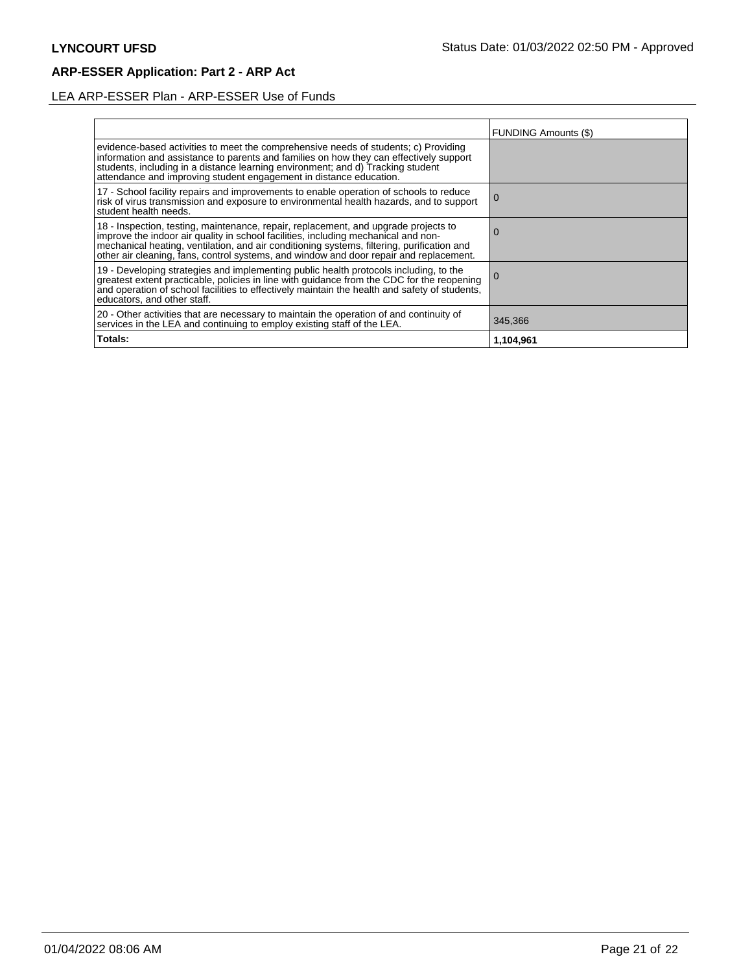# LEA ARP-ESSER Plan - ARP-ESSER Use of Funds

|                                                                                                                                                                                                                                                                                                                                                                | <b>FUNDING Amounts (\$)</b> |
|----------------------------------------------------------------------------------------------------------------------------------------------------------------------------------------------------------------------------------------------------------------------------------------------------------------------------------------------------------------|-----------------------------|
| evidence-based activities to meet the comprehensive needs of students; c) Providing<br>information and assistance to parents and families on how they can effectively support<br>students, including in a distance learning environment; and d) Tracking student<br>attendance and improving student engagement in distance education.                         |                             |
| 17 - School facility repairs and improvements to enable operation of schools to reduce<br>risk of virus transmission and exposure to environmental health hazards, and to support<br>student health needs.                                                                                                                                                     | 0                           |
| 18 - Inspection, testing, maintenance, repair, replacement, and upgrade projects to improve the indoor air quality in school facilities, including mechanical and non-<br>mechanical heating, ventilation, and air conditioning systems, filtering, purification and<br>other air cleaning, fans, control systems, and window and door repair and replacement. | O                           |
| 19 - Developing strategies and implementing public health protocols including, to the<br>greatest extent practicable, policies in line with guidance from the CDC for the reopening<br>and operation of school facilities to effectively maintain the health and safety of students,<br>educators, and other staff.                                            | l O                         |
| 20 - Other activities that are necessary to maintain the operation of and continuity of<br>services in the LEA and continuing to employ existing staff of the LEA.                                                                                                                                                                                             | 345,366                     |
| Totals:                                                                                                                                                                                                                                                                                                                                                        | 1,104,961                   |